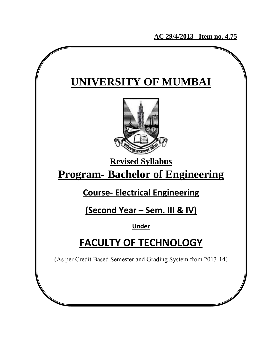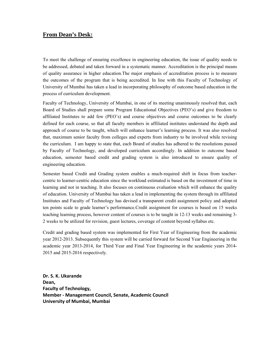## **From Dean's Desk:**

To meet the challenge of ensuring excellence in engineering education, the issue of quality needs to be addressed, debated and taken forward in a systematic manner. Accreditation is the principal means of quality assurance in higher education.The major emphasis of accreditation process is to measure the outcomes of the program that is being accredited. In line with this Faculty of Technology of University of Mumbai has taken a lead in incorporating philosophy of outcome based education in the process of curriculum development.

Faculty of Technology, University of Mumbai, in one of its meeting unanimously resolved that, each Board of Studies shall prepare some Program Educational Objectives (PEO's) and give freedom to affiliated Institutes to add few (PEO's) and course objectives and course outcomes to be clearly defined for each course, so that all faculty members in affiliated institutes understand the depth and approach of course to be taught, which will enhance learner's learning process. It was also resolved that, maximum senior faculty from colleges and experts from industry to be involved while revising the curriculum. I am happy to state that, each Board of studies has adhered to the resolutions passed by Faculty of Technology, and developed curriculum accordingly. In addition to outcome based education, semester based credit and grading system is also introduced to ensure quality of engineering education.

Semester based Credit and Grading system enables a much-required shift in focus from teachercentric to learner-centric education since the workload estimated is based on the investment of time in learning and not in teaching. It also focuses on continuous evaluation which will enhance the quality of education. University of Mumbai has taken a lead in implementing the system through its affiliated Institutes and Faculty of Technology has devised a transparent credit assignment policy and adopted ten points scale to grade learner's performance.Credit assignment for courses is based on 15 weeks teaching learning process, however content of courses is to be taught in 12-13 weeks and remaining 3- 2 weeks to be utilized for revision, guest lectures, coverage of content beyond syllabus etc.

Credit and grading based system was implemented for First Year of Engineering from the academic year 2012-2013. Subsequently this system will be carried forward for Second Year Engineering in the academic year 2013-2014, for Third Year and Final Year Engineering in the academic years 2014- 2015 and 2015-2016 respectively.

**Dr. S. K. Ukarande** Dean, **Faculty of Technology, Member ‐ Management Council, Senate, Academic Council University of Mumbai, Mumbai**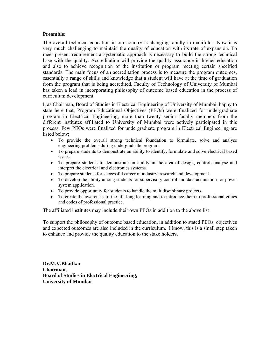#### **Preamble:**

The overall technical education in our country is changing rapidly in manifolds. Now it is very much challenging to maintain the quality of education with its rate of expansion. To meet present requirement a systematic approach is necessary to build the strong technical base with the quality. Accreditation will provide the quality assurance in higher education and also to achieve recognition of the institution or program meeting certain specified standards. The main focus of an accreditation process is to measure the program outcomes, essentially a range of skills and knowledge that a student will have at the time of graduation from the program that is being accredited. Faculty of Technology of University of Mumbai has taken a lead in incorporating philosophy of outcome based education in the process of curriculum development.

I, as Chairman, Board of Studies in Electrical Engineering of University of Mumbai, happy to state here that, Program Educational Objectives (PEOs) were finalized for undergraduate program in Electrical Engineering, more than twenty senior faculty members from the different institutes affiliated to University of Mumbai were actively participated in this process. Few PEOs were finalized for undergraduate program in Electrical Engineering are listed below;

- To provide the overall strong technical foundation to formulate, solve and analyse engineering problems during undergraduate program.
- To prepare students to demonstrate an ability to identify, formulate and solve electrical based issues.
- To prepare students to demonstrate an ability in the area of design, control, analyse and interpret the electrical and electronics systems.
- To prepare students for successful career in industry, research and development.
- To develop the ability among students for supervisory control and data acquisition for power system application.
- To provide opportunity for students to handle the multidisciplinary projects.
- To create the awareness of the life-long learning and to introduce them to professional ethics and codes of professional practice.

The affiliated institutes may include their own PEOs in addition to the above list

To support the philosophy of outcome based education, in addition to stated PEOs, objectives and expected outcomes are also included in the curriculum. I know, this is a small step taken to enhance and provide the quality education to the stake holders.

**Dr.M.V.Bhatlkar Chairman, Board of Studies in Electrical Engineering, University of Mumbai**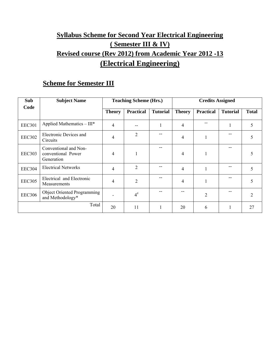# **Syllabus Scheme for Second Year Electrical Engineering ( Semester III & IV) Revised course (Rev 2012) from Academic Year 2012** ‐**13 (Electrical Engineering)**

# **Scheme for Semester III**

| Sub           | <b>Subject Name</b>                                       |               | <b>Teaching Scheme (Hrs.)</b> |                 | <b>Credits Assigned</b> |                  |                 |              |
|---------------|-----------------------------------------------------------|---------------|-------------------------------|-----------------|-------------------------|------------------|-----------------|--------------|
| Code          |                                                           | <b>Theory</b> | <b>Practical</b>              | <b>Tutorial</b> | <b>Theory</b>           | <b>Practical</b> | <b>Tutorial</b> | <b>Total</b> |
| <b>EEC301</b> | Applied Mathematics $- III^*$                             | 4             |                               |                 | $\overline{4}$          |                  |                 | 5            |
| <b>EEC302</b> | Electronic Devices and<br>Circuits                        | 4             | $\overline{2}$                |                 | $\overline{4}$          |                  |                 | 5            |
| <b>EEC303</b> | Conventional and Non-<br>conventional Power<br>Generation | 4             | 1                             |                 | 4                       |                  |                 |              |
| <b>EEC304</b> | <b>Electrical Networks</b>                                | 4             | $\overline{2}$                |                 | 4                       |                  |                 | 5            |
| <b>EEC305</b> | Electrical and Electronic<br>Measurements                 | 4             | $\overline{2}$                |                 | $\overline{4}$          |                  |                 | 5            |
| <b>EEC306</b> | <b>Object Oriented Programming</b><br>and Methodology*    |               | $4^{\#}$                      |                 | --                      | $\overline{2}$   |                 | 2            |
|               | Total                                                     | 20            | 11                            |                 | 20                      | 6                |                 | 27           |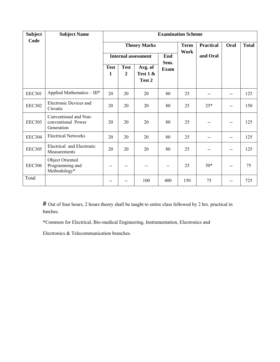| <b>Subject</b><br>Code | <b>Subject Name</b>                                       |                            |                  |                                 | <b>Examination Scheme</b> |                     |                  |      |              |
|------------------------|-----------------------------------------------------------|----------------------------|------------------|---------------------------------|---------------------------|---------------------|------------------|------|--------------|
|                        |                                                           |                            |                  | <b>Theory Marks</b>             |                           | <b>Term</b><br>Work | <b>Practical</b> | Oral | <b>Total</b> |
|                        |                                                           | <b>Internal assessment</b> |                  | End<br>Sem.                     |                           | and Oral            |                  |      |              |
|                        |                                                           | <b>Test</b><br>1           | <b>Test</b><br>2 | Avg. of<br>Test $1 &$<br>Test 2 | <b>Exam</b>               |                     |                  |      |              |
| <b>EEC301</b>          | Applied Mathematics - III*                                | 20                         | 20               | 20                              | 80                        | 25                  | --               | --   | 125          |
| <b>EEC302</b>          | Electronic Devices and<br>Circuits                        | 20                         | 20               | 20                              | 80                        | 25                  | $25*$            | --   | 150          |
| <b>EEC303</b>          | Conventional and Non-<br>conventional Power<br>Generation | 20                         | 20               | 20                              | 80                        | 25                  |                  |      | 125          |
| <b>EEC304</b>          | <b>Electrical Networks</b>                                | 20                         | 20               | 20                              | 80                        | 25                  | --               | --   | 125          |
| <b>EEC305</b>          | Electrical and Electronic<br>Measurements                 | 20                         | 20               | 20                              | 80                        | 25                  |                  |      | 125          |
| <b>EEC306</b>          | Object Oriented<br>Programming and<br>Methodology*        | --                         |                  |                                 |                           | 25                  | $50*$            |      | 75           |
| Total                  |                                                           |                            |                  | 100                             | 400                       | 150                 | 75               |      | 725          |

**#** Out of four hours, 2 hours theory shall be taught to entire class followed by 2 hrs. practical in batches.

\*Common for Electrical, Bio-medical Engineering, Instrumentation, Electronics and

Electronics & Telecommunication branches.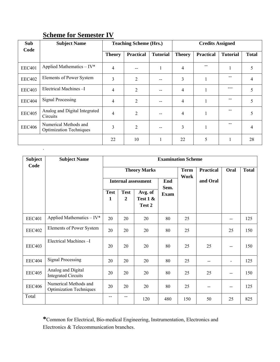| Sub           | <b>Subject Name</b>                                     |                | <b>Teaching Scheme (Hrs.)</b> |                 |                | <b>Credits Assigned</b> |                 |              |
|---------------|---------------------------------------------------------|----------------|-------------------------------|-----------------|----------------|-------------------------|-----------------|--------------|
| Code          |                                                         | <b>Theory</b>  | <b>Practical</b>              | <b>Tutorial</b> | <b>Theory</b>  | <b>Practical</b>        | <b>Tutorial</b> | <b>Total</b> |
| <b>EEC401</b> | Applied Mathematics $-IV^*$                             | 4              |                               |                 | 4              |                         |                 | 5            |
| <b>EEC402</b> | Elements of Power System                                | 3              | $\overline{2}$                |                 | 3              |                         |                 | 4            |
| <b>EEC403</b> | Electrical Machines-I                                   | $\overline{4}$ | $\overline{2}$                |                 | 4              |                         |                 | 5            |
| <b>EEC404</b> | <b>Signal Processing</b>                                | 4              | $\overline{2}$                |                 | 4              |                         |                 | 5            |
| <b>EEC405</b> | Analog and Digital Integrated<br>Circuits               | 4              | $\overline{2}$                |                 | $\overline{4}$ |                         |                 | 5            |
| <b>EEC406</b> | Numerical Methods and<br><b>Optimization Techniques</b> | 3              | $\overline{2}$                |                 | 3              |                         |                 | 4            |
|               |                                                         | 22             | 10                            |                 | 22             | 5                       |                 | 28           |

# **Scheme for Semester IV**

.

| <b>Subject</b><br>Code | <b>Subject Name</b>                                     | <b>Examination Scheme</b>   |                               |                                 |             |                     |                  |      |              |  |  |
|------------------------|---------------------------------------------------------|-----------------------------|-------------------------------|---------------------------------|-------------|---------------------|------------------|------|--------------|--|--|
|                        |                                                         |                             |                               | <b>Theory Marks</b>             |             | <b>Term</b><br>Work | <b>Practical</b> | Oral | <b>Total</b> |  |  |
|                        |                                                         | <b>Internal assessment</b>  |                               |                                 | End<br>Sem. |                     | and Oral         |      |              |  |  |
|                        |                                                         | <b>Test</b><br>$\mathbf{1}$ | <b>Test</b><br>$\overline{2}$ | Avg. of<br>Test $1 &$<br>Test 2 | <b>Exam</b> |                     |                  |      |              |  |  |
| <b>EEC401</b>          | Applied Mathematics - IV*                               | 20                          | 20                            | 20                              | 80          | 25                  |                  | --   | 125          |  |  |
| <b>EEC402</b>          | Elements of Power System                                | 20                          | 20                            | 20                              | 80          | 25                  |                  | 25   | 150          |  |  |
| <b>EEC403</b>          | Electrical Machines-I                                   | 20                          | 20                            | 20                              | 80          | 25                  | 25               |      | 150          |  |  |
| <b>EEC404</b>          | <b>Signal Processing</b>                                | 20                          | 20                            | 20                              | 80          | 25                  |                  | -    | 125          |  |  |
| <b>EEC405</b>          | Analog and Digital<br><b>Integrated Circuits</b>        | 20                          | 20                            | 20                              | 80          | 25                  | 25               | --   | 150          |  |  |
| <b>EEC406</b>          | Numerical Methods and<br><b>Optimization Techniques</b> | 20                          | 20                            | 20                              | 80          | 25                  |                  | --   | 125          |  |  |
| Total                  |                                                         | --                          |                               | 120                             | 480         | 150                 | 50               | 25   | 825          |  |  |

**\***Common for Electrical, Bio-medical Engineering, Instrumentation, Electronics and Electronics & Telecommunication branches.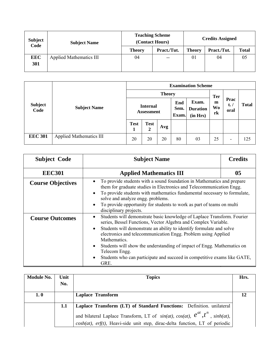| <b>Subject</b><br>Code | <b>Subject Name</b>            |               | <b>Teaching Scheme</b><br>(Contact Hours) | <b>Credits Assigned</b> |             |              |  |
|------------------------|--------------------------------|---------------|-------------------------------------------|-------------------------|-------------|--------------|--|
|                        |                                | <b>Theory</b> | Pract./Tut.                               | <b>Theory</b>           | Pract./Tut. | <b>Total</b> |  |
| <b>EEC</b>             | <b>Applied Mathematics III</b> | 04            | $- -$                                     | 01                      | 04          | 05           |  |
| 301                    |                                |               |                                           |                         |             |              |  |
|                        |                                |               |                                           |                         |             |              |  |

|                        | <b>Subject Name</b>            | <b>Examination Scheme</b>     |                  |     |                      |                                      |                                    |                               |              |  |
|------------------------|--------------------------------|-------------------------------|------------------|-----|----------------------|--------------------------------------|------------------------------------|-------------------------------|--------------|--|
|                        |                                | <b>Theory</b>                 |                  |     |                      |                                      |                                    |                               |              |  |
| <b>Subject</b><br>Code |                                | <b>Internal</b><br>Assessment |                  |     | End<br>Sem.<br>Exam. | Exam.<br><b>Duration</b><br>(in Hrs) | <b>Ter</b><br>m<br><b>Wo</b><br>rk | Prac<br>$t_{\bullet}$<br>oral | <b>Total</b> |  |
|                        |                                | <b>Test</b>                   | <b>Test</b><br>2 | Avg |                      |                                      |                                    |                               |              |  |
| <b>EEC 301</b>         | <b>Applied Mathematics III</b> | 20                            | 20               | 20  | 80                   | 03                                   | 25                                 | -                             | 125          |  |

| <b>Subject Code</b>      | <b>Subject Name</b>                                                                                                                                                                                                                                                                                                                                                                                                                                                                                                                   | <b>Credits</b> |
|--------------------------|---------------------------------------------------------------------------------------------------------------------------------------------------------------------------------------------------------------------------------------------------------------------------------------------------------------------------------------------------------------------------------------------------------------------------------------------------------------------------------------------------------------------------------------|----------------|
| <b>EEC301</b>            | <b>Applied Mathematics III</b>                                                                                                                                                                                                                                                                                                                                                                                                                                                                                                        | 05             |
| <b>Course Objectives</b> | To provide students with a sound foundation in Mathematics and prepare<br>$\bullet$<br>them for graduate studies in Electronics and Telecommunication Engg.<br>To provide students with mathematics fundamental necessary to formulate,<br>$\bullet$<br>solve and analyze engg. problems.<br>To provide opportunity for students to work as part of teams on multi<br>$\bullet$<br>disciplinary projects.                                                                                                                             |                |
| <b>Course Outcomes</b>   | Students will demonstrate basic knowledge of Laplace Transform. Fourier<br>$\bullet$<br>series, Bessel Functions, Vector Algebra and Complex Variable.<br>Students will demonstrate an ability to identify formulate and solve<br>$\bullet$<br>electronics and telecommunication Engg. Problem using Applied<br>Mathematics.<br>Students will show the understanding of impact of Engg. Mathematics on<br>$\bullet$<br>Telecom Engg.<br>Students who can participate and succeed in competitive exams like GATE,<br>$\bullet$<br>GRE. |                |

| <b>Module No.</b> | Unit | <b>Topics</b>                                                                                                                                                                       | Hrs. |
|-------------------|------|-------------------------------------------------------------------------------------------------------------------------------------------------------------------------------------|------|
|                   | No.  |                                                                                                                                                                                     |      |
| 1.0               |      | <b>Laplace Transform</b>                                                                                                                                                            |      |
|                   | 1.1  | Laplace Transform (LT) of Standard Functions: Definition. unilateral                                                                                                                |      |
|                   |      | and bilateral Laplace Transform, LT of $sin(at)$ , $cos(at)$ , $e^{at}$ , $t^n$ , $sinh(at)$ ,  <br>$cosh(at)$ , erf(t), Heavi-side unit step, dirac-delta function, LT of periodic |      |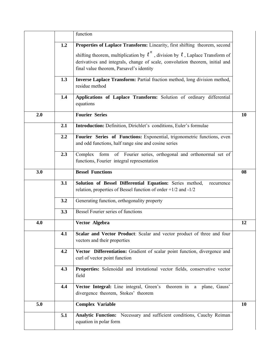|     |     | function                                                                                                                                                                                                       |    |
|-----|-----|----------------------------------------------------------------------------------------------------------------------------------------------------------------------------------------------------------------|----|
|     | 1.2 | Properties of Laplace Transform: Linearity, first shifting theorem, second                                                                                                                                     |    |
|     |     | shifting theorem, multiplication by $t^n$ , division by $t$ , Laplace Transform of<br>derivatives and integrals, change of scale, convolution theorem, initial and<br>final value theorem, Parsavel's identity |    |
|     | 1.3 | Inverse Laplace Transform: Partial fraction method, long division method,<br>residue method                                                                                                                    |    |
|     | 1.4 | Applications of Laplace Transform: Solution of ordinary differential<br>equations                                                                                                                              |    |
| 2.0 |     | <b>Fourier Series</b>                                                                                                                                                                                          | 10 |
|     | 2.1 | Introduction: Definition, Dirichlet's conditions, Euler's formulae                                                                                                                                             |    |
|     | 2.2 | Fourier Series of Functions: Exponential, trigonometric functions, even<br>and odd functions, half range sine and cosine series                                                                                |    |
|     | 2.3 | Complex form of Fourier series, orthogonal and orthonormal set of<br>functions, Fourier integral representation                                                                                                |    |
| 3.0 |     | <b>Bessel Functions</b>                                                                                                                                                                                        | 08 |
|     | 3.1 | Solution of Bessel Differential Equation: Series method,<br>recurrence<br>relation, properties of Bessel function of order $+1/2$ and $-1/2$                                                                   |    |
|     | 3.2 | Generating function, orthogonality property                                                                                                                                                                    |    |
|     | 3.3 | <b>Bessel Fourier series of functions</b>                                                                                                                                                                      |    |
| 4.0 |     | Vector Algebra                                                                                                                                                                                                 | 12 |
|     | 4.1 | Scalar and Vector Product: Scalar and vector product of three and four<br>vectors and their properties                                                                                                         |    |
|     | 4.2 | Vector Differentiation: Gradient of scalar point function, divergence and<br>curl of vector point function                                                                                                     |    |
|     | 4.3 | Properties: Solenoidal and irrotational vector fields, conservative vector<br>field                                                                                                                            |    |
|     | 4.4 | Vector Integral: Line integral, Green's theorem in a plane, Gauss'<br>divergence theorem, Stokes' theorem                                                                                                      |    |
| 5.0 |     |                                                                                                                                                                                                                | 10 |
|     |     | <b>Complex Variable</b>                                                                                                                                                                                        |    |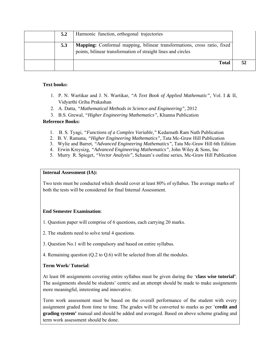| 5.2 | Harmonic function, orthogonal trajectories                                                                                                |  |
|-----|-------------------------------------------------------------------------------------------------------------------------------------------|--|
| 5.3 | Mapping: Conformal mapping, bilinear transformations, cross ratio, fixed<br>points, bilinear transformation of straight lines and circles |  |
|     | <b>Total</b>                                                                                                                              |  |

#### **Text books:**

- 1. P. N. Wartikar and J. N. Wartikar, *"A Text Book of Applied Mathematic",* Vol. I & II, Vidyarthi Griha Prakashan
- 2. A. Datta, *"Mathematical Methods in Science and Engineering",* 2012
- 3. B.S. Grewal, *"Higher Engineering Mathematics",* Khanna Publication

#### **Reference Books:**

- 1. B. S. Tyagi, *"Functions of a Complex Variable,"* Kedarnath Ram Nath Publication
- 2. B. V. Ramana, *"Higher Engineering Mathematics",* Tata Mc-Graw Hill Publication
- 3. Wylie and Barret, *"Advanced Engineering Mathematics",* Tata Mc-Graw Hill 6th Edition
- 4. Erwin Kreysizg, *"Advanced Engineering Mathematics",* John Wiley & Sons, Inc
- 5. Murry R. Spieget, *"Vector Analysis",* Schaum's outline series, Mc-Graw Hill Publication

#### **Internal Assessment (IA):**

Two tests must be conducted which should cover at least 80% of syllabus. The average marks of both the tests will be considered for final Internal Assessment.

## **End Semester Examination**:

- 1. Question paper will comprise of 6 questions, each carrying 20 marks.
- 2. The students need to solve total 4 questions.
- 3. Question No.1 will be compulsory and based on entire syllabus.
- 4. Remaining question (Q.2 to Q.6) will be selected from all the modules.

## **Term Work/ Tutorial**:

At least 08 assignments covering entire syllabus must be given during the '**class wise tutorial'**. The assignments should be students' centric and an attempt should be made to make assignments more meaningful, interesting and innovative.

Term work assessment must be based on the overall performance of the student with every assignment graded from time to time. The grades will be converted to marks as per '**credit and grading system'** manual and should be added and averaged. Based on above scheme grading and term work assessment should be done.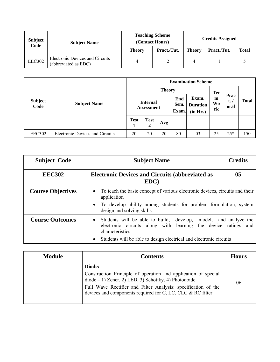| <b>Subject</b><br>Code | <b>Subject Name</b>                                     | <b>Teaching Scheme</b><br>(Contact Hours) |             | <b>Credits Assigned</b> |             |              |  |
|------------------------|---------------------------------------------------------|-------------------------------------------|-------------|-------------------------|-------------|--------------|--|
|                        |                                                         | <b>Theory</b>                             | Pract./Tut. | <b>Theory</b>           | Pract./Tut. | <b>Total</b> |  |
| EEC302                 | Electronic Devices and Circuits<br>(abbreviated as EDC) | 4                                         |             |                         |             |              |  |

|                        | <b>Subject Name</b>                    | <b>Examination Scheme</b>     |                  |     |                      |                                      |                             |                               |              |  |
|------------------------|----------------------------------------|-------------------------------|------------------|-----|----------------------|--------------------------------------|-----------------------------|-------------------------------|--------------|--|
|                        |                                        | <b>Theory</b>                 |                  |     |                      |                                      |                             |                               |              |  |
| <b>Subject</b><br>Code |                                        | <b>Internal</b><br>Assessment |                  |     | End<br>Sem.<br>Exam. | Exam.<br><b>Duration</b><br>(in Hrs) | <b>Ter</b><br>m<br>Wo<br>rk | Prac<br>$t_{\bullet}$<br>oral | <b>Total</b> |  |
|                        |                                        | <b>Test</b><br>1              | <b>Test</b><br>2 | Avg |                      |                                      |                             |                               |              |  |
| <b>EEC302</b>          | <b>Electronic Devices and Circuits</b> | 20                            | 20               | 20  | 80                   | 03                                   | 25                          | $25*$                         | 150          |  |

| <b>Subject Code</b>      | <b>Subject Name</b>                                                                                                                                                                                                                                  | <b>Credits</b>                                                                                                                                      |  |  |  |  |
|--------------------------|------------------------------------------------------------------------------------------------------------------------------------------------------------------------------------------------------------------------------------------------------|-----------------------------------------------------------------------------------------------------------------------------------------------------|--|--|--|--|
| <b>EEC302</b>            | <b>Electronic Devices and Circuits (abbreviated as</b><br>EDC)                                                                                                                                                                                       | 0 <sub>5</sub>                                                                                                                                      |  |  |  |  |
| <b>Course Objectives</b> | $\bullet$<br>application<br>design and solving skills                                                                                                                                                                                                | To teach the basic concept of various electronic devices, circuits and their<br>• To develop ability among students for problem formulation, system |  |  |  |  |
| <b>Course Outcomes</b>   | Students will be able to build, develop, model, and analyze the<br>$\bullet$<br>electronic circuits along with learning the device ratings and<br>characteristics<br>Students will be able to design electrical and electronic circuits<br>$\bullet$ |                                                                                                                                                     |  |  |  |  |

| <b>Module</b> | <b>Contents</b>                                                                                                                                                                                                                                                         | <b>Hours</b> |
|---------------|-------------------------------------------------------------------------------------------------------------------------------------------------------------------------------------------------------------------------------------------------------------------------|--------------|
|               | Diode:<br>Construction Principle of operation and application of special<br>$diode - 1$ ) Zener, 2) LED, 3) Schottky, 4) Photodoide.<br>Full Wave Rectifier and Filter Analysis: specification of the<br>devices and components required for C, LC, CLC $\&$ RC filter. | 06           |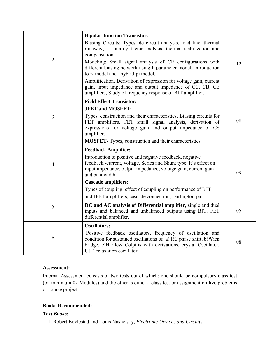|                | <b>Bipolar Junction Transistor:</b>                                                                                                                                                                                                |    |
|----------------|------------------------------------------------------------------------------------------------------------------------------------------------------------------------------------------------------------------------------------|----|
|                | Biasing Circuits. Types, dc circuit analysis, load line, thermal<br>stability factor analysis, thermal stabilization and<br>runaway.<br>compensation.                                                                              |    |
| $\overline{2}$ | Modeling: Small signal analysis of CE configurations with<br>different biasing network using h-parameter model. Introduction<br>to $r_e$ -model and hybrid-pi model.                                                               | 12 |
|                | Amplification. Derivation of expression for voltage gain, current<br>gain, input impedance and output impedance of CC, CB, CE<br>amplifiers, Study of frequency response of BJT amplifier.                                         |    |
|                | <b>Field Effect Transistor:</b>                                                                                                                                                                                                    |    |
|                | <b>JFET and MOSFET:</b>                                                                                                                                                                                                            |    |
| 3              | Types, construction and their characteristics, Biasing circuits for<br>FET amplifiers, FET small signal analysis, derivation of<br>expressions for voltage gain and output impedance of CS<br>amplifiers.                          | 08 |
|                | <b>MOSFET-</b> Types, construction and their characteristics                                                                                                                                                                       |    |
|                | <b>Feedback Amplifier:</b>                                                                                                                                                                                                         |    |
| $\overline{4}$ | Introduction to positive and negative feedback, negative<br>feedback -current, voltage, Series and Shunt type. It's effect on<br>input impedance, output impedance, voltage gain, current gain<br>and bandwidth                    | 09 |
|                | <b>Cascade amplifiers:</b>                                                                                                                                                                                                         |    |
|                | Types of coupling, effect of coupling on performance of BJT                                                                                                                                                                        |    |
|                | and JFET amplifiers, cascade connection, Darlington-pair                                                                                                                                                                           |    |
| 5              | DC and AC analysis of Differential amplifier, single and dual<br>inputs and balanced and unbalanced outputs using BJT. FET<br>differential amplifier.                                                                              | 05 |
|                | <b>Oscillators:</b>                                                                                                                                                                                                                |    |
| 6              | Positive feedback oscillators, frequency of oscillation and<br>condition for sustained oscillations of a) RC phase shift, b)Wien<br>bridge, c)Hartley/ Colpitts with derivations, crystal Oscillator,<br>UJT relaxation oscillator | 08 |

Internal Assessment consists of two tests out of which; one should be compulsory class test (on minimum 02 Modules) and the other is either a class test or assignment on live problems or course project.

## **Books Recommended:**

# *Text Books:*

1. Robert Boylestad and Louis Nashelsky, *Electronic Devices and Circuits*,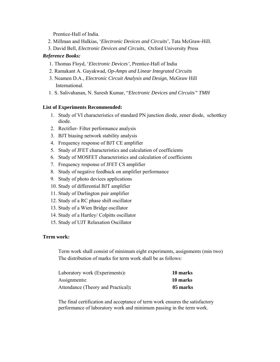Prentice-Hall of India.

- 2. Millman and Halkias, '*Electronic Devices and Circuits*', Tata McGraw-Hill.
- 3. David Bell, *Electronic Devices and Circuits*, Oxford University Press

#### *Reference Books:*

- 1. Thomas Floyd, '*Electronic Devices'*, Prentice-Hall of India
- 2. Ramakant A. Gayakwad, *Op-Amps and Linear Integrated Circuits*
- 3. Neamen D.A., *Electronic Circuit Analysis and Design*, McGraw Hill International.
- 1. S. Salivahanan, N. Suresh Kumar, "*Electronic Devices and Circuits" TMH*

## **List of Experiments Recommended:**

- 1. Study of VI characteristics of standard PN junction diode, zener diode, schottkey diode.
- 2. Rectifier- Filter performance analysis
- 3. BJT biasing network stability analysis
- 4. Frequency response of BJT CE amplifier
- 5. Study of JFET characteristics and calculation of coefficients
- 6. Study of MOSFET characteristics and calculation of coefficients
- 7. Frequency response of JFET CS amplifier
- 8. Study of negative feedback on amplifier performance
- 9. Study of photo devices applications
- 10. Study of differential BJT amplifier
- 11. Study of Darlington pair amplifier
- 12. Study of a RC phase shift oscillator
- 13. Study of a Wien Bridge oscillator
- 14. Study of a Hartley/ Colpitts oscillator
- 15. Study of UJT Relaxation Oscillator

#### **Term work:**

Term work shall consist of minimum eight experiments, assignments (min two) The distribution of marks for term work shall be as follows:

| Laboratory work (Experiments):     | 10 marks |
|------------------------------------|----------|
| Assignments:                       | 10 marks |
| Attendance (Theory and Practical): | 05 marks |

The final certification and acceptance of term work ensures the satisfactory performance of laboratory work and minimum passing in the term work.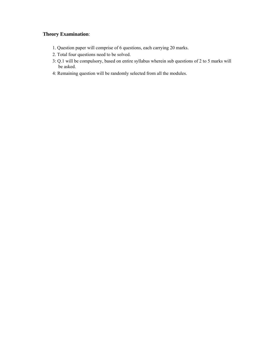- 1. Question paper will comprise of 6 questions, each carrying 20 marks.
- 2. Total four questions need to be solved.
- 3: Q.1 will be compulsory, based on entire syllabus wherein sub questions of 2 to 5 marks will be asked.
- 4: Remaining question will be randomly selected from all the modules.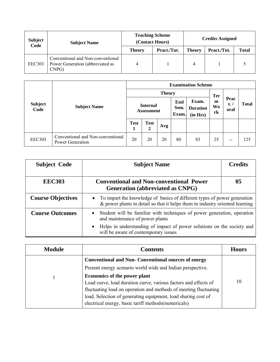| <b>Subject</b><br>Code | <b>Subject Name</b>                                                               | <b>Teaching Scheme</b><br>(Contact Hours) |             | <b>Credits Assigned</b> |             |              |
|------------------------|-----------------------------------------------------------------------------------|-------------------------------------------|-------------|-------------------------|-------------|--------------|
|                        |                                                                                   | <b>Theory</b>                             | Pract./Tut. | <b>Theory</b>           | Pract./Tut. | <b>Total</b> |
| <b>EEC303</b>          | Conventional and Non-conventional<br>Power Generation (abbreviated as<br>$CNP$ G) | 4                                         |             | 4                       |             |              |

|                        |                                                       | <b>Examination Scheme</b>            |                  |                      |                                      |                      |                                 |              |     |
|------------------------|-------------------------------------------------------|--------------------------------------|------------------|----------------------|--------------------------------------|----------------------|---------------------------------|--------------|-----|
|                        |                                                       | <b>Theory</b>                        |                  |                      |                                      |                      | <b>Ter</b>                      |              |     |
| <b>Subject</b><br>Code | <b>Subject Name</b>                                   | <b>Internal</b><br><b>Assessment</b> |                  | End<br>Sem.<br>Exam. | Exam.<br><b>Duration</b><br>(in Hrs) | m<br><b>Wo</b><br>rk | Prac<br>$t_{\bullet}$ /<br>oral | <b>Total</b> |     |
|                        |                                                       | <b>Test</b><br>1                     | <b>Test</b><br>2 | Avg                  |                                      |                      |                                 |              |     |
| <b>EEC303</b>          | Conventional and Non-conventional<br>Power Generation | 20                                   | 20               | 20                   | 80                                   | 03                   | 25                              | $- -$        | 125 |

| <b>Subject Code</b>      | <b>Subject Name</b>                                                                                                                                                                                                                       | <b>Credits</b> |  |  |
|--------------------------|-------------------------------------------------------------------------------------------------------------------------------------------------------------------------------------------------------------------------------------------|----------------|--|--|
| <b>EEC303</b>            | <b>Conventional and Non-conventional Power</b><br>Generation (abbreviated as CNPG)                                                                                                                                                        | 05             |  |  |
| <b>Course Objectives</b> | To impart the knowledge of basics of different types of power generation<br>$\bullet$<br>& power plants in detail so that it helps them in industry oriented learning                                                                     |                |  |  |
| <b>Course Outcomes</b>   | Student will be familiar with techniques of power generation, operation<br>and maintenance of power plants<br>Helps in understanding of impact of power solutions on the society and<br>$\bullet$<br>will be aware of contemporary issues |                |  |  |

| <b>Module</b> | <b>Contents</b>                                                  | <b>Hours</b> |
|---------------|------------------------------------------------------------------|--------------|
|               | <b>Conventional and Non- Conventional sources of energy</b>      |              |
|               | Present energy scenario world wide and Indian perspective.       |              |
|               | Economics of the power plant                                     |              |
|               | Load curve, load duration curve, various factors and effects of  | 10           |
|               | fluctuating load on operation and methods of meeting fluctuating |              |
|               | load. Selection of generating equipment, load sharing cost of    |              |
|               | electrical energy, basic tariff methods (numericals)             |              |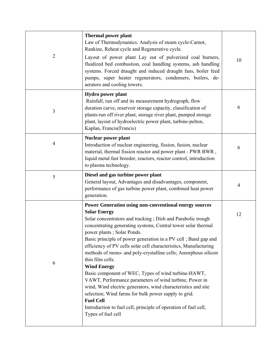| $\overline{2}$ | <b>Thermal power plant</b><br>Law of Thermodynamics. Analysis of steam cycle-Carnot,<br>Rankine, Reheat cycle and Regenerative cycle.<br>Layout of power plant Lay out of pulverized coal burners,<br>fluidized bed combustion, coal handling systems, ash handling<br>systems. Forced draught and induced draught fans, boiler feed<br>pumps, super heater regenerators, condensers, boilers, de-<br>aerators and cooling towers.                                                                                                                                                                                                                                                                                                                                                                                                                          | 10                       |
|----------------|-------------------------------------------------------------------------------------------------------------------------------------------------------------------------------------------------------------------------------------------------------------------------------------------------------------------------------------------------------------------------------------------------------------------------------------------------------------------------------------------------------------------------------------------------------------------------------------------------------------------------------------------------------------------------------------------------------------------------------------------------------------------------------------------------------------------------------------------------------------|--------------------------|
| 3              | <b>Hydro power plant</b><br>Rainfall, run off and its measurement hydrograph, flow<br>duration curve, reservoir storage capacity, classification of<br>plants-run off river plant, storage river plant, pumped storage<br>plant, layout of hydroelectric power plant, turbine-pelton,<br>Kaplan, Francis(Francis)                                                                                                                                                                                                                                                                                                                                                                                                                                                                                                                                           | 6                        |
| $\overline{4}$ | Nuclear power plant<br>Introduction of nuclear engineering, fission, fusion, nuclear<br>material, thermal fission reactor and power plant - PWR BWR,<br>liquid metal fast breeder, reactors, reactor control, introduction<br>to plasma technology.                                                                                                                                                                                                                                                                                                                                                                                                                                                                                                                                                                                                         | 6                        |
| 5              | Diesel and gas turbine power plant<br>General layout, Advantages and disadvantages, component,<br>performance of gas turbine power plant, combined heat power<br>generation.                                                                                                                                                                                                                                                                                                                                                                                                                                                                                                                                                                                                                                                                                | $\overline{\mathcal{A}}$ |
| 6              | <b>Power Generation using non-conventional energy sources</b><br><b>Solar Energy</b><br>Solar concentrators and tracking; Dish and Parabolic trough<br>concentrating generating systems, Central tower solar thermal<br>power plants; Solar Ponds.<br>Basic principle of power generation in a PV cell; Band gap and<br>efficiency of PV cells solar cell characteristics, Manufacturing<br>methods of mono- and poly-crystalline cells; Amorphous silicon<br>thin film cells.<br><b>Wind Energy</b><br>Basic component of WEC, Types of wind turbine-HAWT,<br>VAWT, Performance parameters of wind turbine, Power in<br>wind, Wind electric generators, wind characteristics and site<br>selection; Wind farms for bulk power supply to grid.<br><b>Fuel Cell</b><br>Introduction to fuel cell, principle of operation of fuel cell,<br>Types of fuel cell | 12                       |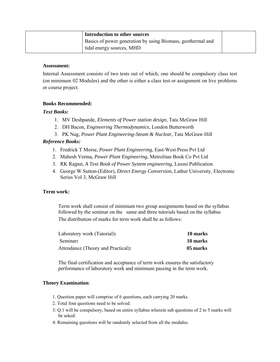| Introduction to other sources                               |  |
|-------------------------------------------------------------|--|
| Basics of power generation by using Biomass, geothermal and |  |
| tidal energy sources, MHD                                   |  |

Internal Assessment consists of two tests out of which; one should be compulsory class test (on minimum 02 Modules) and the other is either a class test or assignment on live problems or course project.

## **Books Recommended:**

## *Text Books:*

- 1. MV Deshpande, *Elements of Power station design*, Tata McGraw Hill
- 2. DH Bacon, *Engineering Thermodynamics*, London Butterworth
- 3. PK Nag, *Power Plant Engineering-Steam & Nuclear*, Tata McGraw Hill

## *Reference Books:*

- 1. Fredrick T Morse, *Power Plant Engineering*, East-West Press Pvt Ltd
- 2. Mahesh Verma, *Power Plant Engineering*, Metrolitan Book Co Pvt Ltd
- 3. RK Rajput, *A Text Book of Power System engineering*, Laxmi Publication
- 4. George W Sutton-(Editor), *Direct Energy Conversion*, Lathur University, Electronic Series Vol 3, McGraw Hill

## **Term work:**

Term work shall consist of minimum two group assignments based on the syllabus followed by the seminar on the same and three tutorials based on the syllabus The distribution of marks for term work shall be as follows:

| Laboratory work (Tutorial):        | 10 marks |
|------------------------------------|----------|
| Seminar:                           | 10 marks |
| Attendance (Theory and Practical): | 05 marks |

The final certification and acceptance of term work ensures the satisfactory performance of laboratory work and minimum passing in the term work.

- 1. Question paper will comprise of 6 questions, each carrying 20 marks.
- 2. Total four questions need to be solved.
- 3: Q.1 will be compulsory, based on entire syllabus wherein sub questions of 2 to 5 marks will be asked.
- 4: Remaining questions will be randomly selected from all the modules.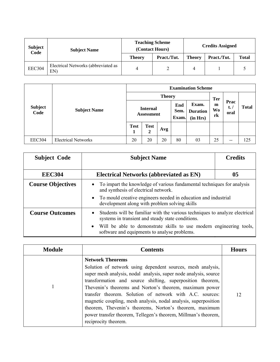| <b>Subject</b><br>Code | <b>Subject Name</b>                        |               | <b>Teaching Scheme</b><br>(Contact Hours) | <b>Credits Assigned</b> |             |              |
|------------------------|--------------------------------------------|---------------|-------------------------------------------|-------------------------|-------------|--------------|
|                        |                                            | <b>Theory</b> | Pract./Tut.                               | <b>Theory</b>           | Pract./Tut. | <b>Total</b> |
| <b>EEC304</b>          | Electrical Networks (abbreviated as<br>EN) | 4             |                                           |                         |             |              |

|                        |                            |                                      |                  |     |                                                              | <b>Examination Scheme</b> |                                    |                               |       |
|------------------------|----------------------------|--------------------------------------|------------------|-----|--------------------------------------------------------------|---------------------------|------------------------------------|-------------------------------|-------|
|                        |                            | <b>Theory</b>                        |                  |     |                                                              |                           |                                    |                               |       |
| <b>Subject</b><br>Code | <b>Subject Name</b>        | <b>Internal</b><br><b>Assessment</b> |                  |     | Exam.<br>End<br>Sem.<br><b>Duration</b><br>Exam.<br>(in Hrs) |                           | <b>Ter</b><br>m<br><b>Wo</b><br>rk | Prac<br>$t_{\bullet}$<br>oral | Total |
|                        |                            | <b>Test</b><br>1                     | <b>Test</b><br>2 | Avg |                                                              |                           |                                    |                               |       |
| <b>EEC304</b>          | <b>Electrical Networks</b> | 20                                   | 20               | 20  | 80                                                           | 03                        | 25                                 | $- -$                         | 125   |

| <b>Subject Code</b>      | <b>Subject Name</b>                                                                                                                           | <b>Credits</b> |  |  |  |  |
|--------------------------|-----------------------------------------------------------------------------------------------------------------------------------------------|----------------|--|--|--|--|
| <b>EEC304</b>            | <b>Electrical Networks (abbreviated as EN)</b>                                                                                                | 05             |  |  |  |  |
| <b>Course Objectives</b> | To impart the knowledge of various fundamental techniques for analysis<br>$\bullet$<br>and synthesis of electrical network.                   |                |  |  |  |  |
|                          | • To mould creative engineers needed in education and industrial<br>development along with problem solving skills                             |                |  |  |  |  |
| <b>Course Outcomes</b>   | Students will be familiar with the various techniques to analyze electrical<br>$\bullet$<br>systems in transient and steady state conditions. |                |  |  |  |  |
|                          | Will be able to demonstrate skills to use modern engineering tools,<br>$\bullet$<br>software and equipments to analyse problems.              |                |  |  |  |  |

| <b>Module</b> | <b>Contents</b>                                                                                                                                                                                                                                                                                                                                                                                                                                                                                                                                                         | <b>Hours</b> |
|---------------|-------------------------------------------------------------------------------------------------------------------------------------------------------------------------------------------------------------------------------------------------------------------------------------------------------------------------------------------------------------------------------------------------------------------------------------------------------------------------------------------------------------------------------------------------------------------------|--------------|
|               | <b>Network Theorems</b><br>Solution of network using dependent sources, mesh analysis,<br>super mesh analysis, nodal analysis, super node analysis, source<br>transformation and source shifting, superposition theorem,<br>Thevenin's theorems and Norton's theorem, maximum power<br>transfer theorem. Solution of network with A.C. sources:<br>magnetic coupling, mesh analysis, nodal analysis, superposition<br>theorem, Thevenin's theorems, Norton's theorem, maximum<br>power transfer theorem, Tellegen's theorem, Millman's theorem,<br>reciprocity theorem. | 12           |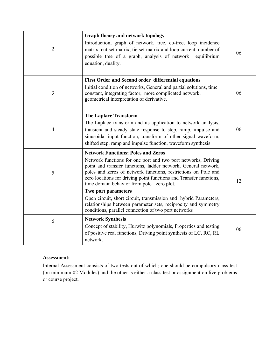| $\overline{2}$ | Graph theory and network topology<br>Introduction, graph of network, tree, co-tree, loop incidence<br>matrix, cut set matrix, tie set matrix and loop current, number of<br>possible tree of a graph, analysis of network<br>equilibrium<br>equation, duality.                                                                                                                                                                                                                                                                   | 06 |
|----------------|----------------------------------------------------------------------------------------------------------------------------------------------------------------------------------------------------------------------------------------------------------------------------------------------------------------------------------------------------------------------------------------------------------------------------------------------------------------------------------------------------------------------------------|----|
| 3              | First Order and Second order differential equations<br>Initial condition of networks, General and partial solutions, time<br>constant, integrating factor, more complicated network,<br>geometrical interpretation of derivative.                                                                                                                                                                                                                                                                                                | 06 |
| $\overline{4}$ | <b>The Laplace Transform</b><br>The Laplace transform and its application to network analysis,<br>transient and steady state response to step, ramp, impulse and<br>sinusoidal input function, transform of other signal waveform,<br>shifted step, ramp and impulse function, waveform synthesis                                                                                                                                                                                                                                | 06 |
| 5              | <b>Network Functions; Poles and Zeros</b><br>Network functions for one port and two port networks, Driving<br>point and transfer functions, ladder network, General network,<br>poles and zeros of network functions, restrictions on Pole and<br>zero locations for driving point functions and Transfer functions,<br>time domain behavior from pole - zero plot.<br>Two port parameters<br>Open circuit, short circuit, transmission and hybrid Parameters,<br>relationships between parameter sets, reciprocity and symmetry | 12 |
| 6              | conditions, parallel connection of two port networks<br><b>Network Synthesis</b><br>Concept of stability, Hurwitz polynomials, Properties and testing<br>of positive real functions, Driving point synthesis of LC, RC, RL<br>network.                                                                                                                                                                                                                                                                                           | 06 |

Internal Assessment consists of two tests out of which; one should be compulsory class test (on minimum 02 Modules) and the other is either a class test or assignment on live problems or course project.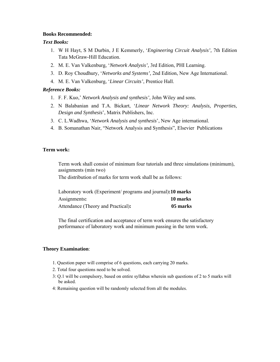#### **Books Recommended:**

#### *Text Books:*

- 1. W H Hayt, S M Durbin, J E Kemmerly, '*Engineering Circuit Analysis',* 7th Edition Tata McGraw-Hill Education.
- 2. M. E. Van Valkenburg, '*Network Analysis',* 3rd Edition, PHI Learning.
- 3. D. Roy Choudhury, '*Networks and Systems',* 2nd Edition, New Age International.
- 4. M. E. Van Valkenburg, '*Linear Circuits'*, Prentice Hall.

## *Reference Books:*

- 1. F. F. Kuo,' *Network Analysis and synthesis'*, John Wiley and sons.
- 2. N Balabanian and T.A. Bickart, '*Linear Network Theory: Analysis, Properties, Design and Synthesis*', Matrix Publishers, Inc.
- 3. C. L.Wadhwa, '*Network Analysis and synthesis*', New Age international.
- 4. B. Somanathan Nair, "Network Analysis and Synthesis", Elsevier Publications

## **Term work:**

Term work shall consist of minimum four tutorials and three simulations (minimum), assignments (min two)

The distribution of marks for term work shall be as follows:

| Laboratory work (Experiment/ programs and journal):10 marks |          |
|-------------------------------------------------------------|----------|
| Assignments:                                                | 10 marks |
| Attendance (Theory and Practical):                          | 05 marks |

The final certification and acceptance of term work ensures the satisfactory performance of laboratory work and minimum passing in the term work.

- 1. Question paper will comprise of 6 questions, each carrying 20 marks.
- 2. Total four questions need to be solved.
- 3: Q.1 will be compulsory, based on entire syllabus wherein sub questions of 2 to 5 marks will be asked.
- 4: Remaining question will be randomly selected from all the modules.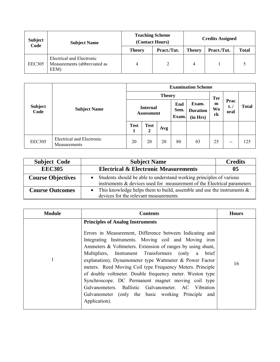| Subject<br>Code | <b>Subject Name</b>                                               |               | <b>Teaching Scheme</b><br>(Contact Hours) |               | <b>Credits Assigned</b> |              |  |
|-----------------|-------------------------------------------------------------------|---------------|-------------------------------------------|---------------|-------------------------|--------------|--|
|                 |                                                                   | <b>Theory</b> | Pract./Tut.                               | <b>Theory</b> | Pract./Tut.             | <b>Total</b> |  |
| EEC305          | Electrical and Electronic<br>Measurements (abbreviated as<br>EEM) | 4             |                                           |               |                         |              |  |

|                        |                                           | <b>Examination Scheme</b><br><b>Theory</b><br><b>Ter</b><br>Exam.<br>End<br>m<br><b>Internal</b><br><b>Wo</b><br>Sem.<br><b>Duration</b><br><b>Assessment</b><br>rk<br>Exam.<br>(in Hrs)<br><b>Test</b><br><b>Test</b><br>Avg<br>2<br>1 |    |    |    |    |    |                             |              |
|------------------------|-------------------------------------------|-----------------------------------------------------------------------------------------------------------------------------------------------------------------------------------------------------------------------------------------|----|----|----|----|----|-----------------------------|--------------|
| <b>Subject</b><br>Code | <b>Subject Name</b>                       |                                                                                                                                                                                                                                         |    |    |    |    |    | Prac<br>$t_{\cdot}$<br>oral | <b>Total</b> |
|                        |                                           |                                                                                                                                                                                                                                         |    |    |    |    |    |                             |              |
| <b>EEC305</b>          | Electrical and Electronic<br>Measurements | 20                                                                                                                                                                                                                                      | 20 | 20 | 80 | 03 | 25 | $\overline{\phantom{m}}$    | 125          |

| <b>Subject Code</b>      | <b>Subject Name</b>                                                                                                                            | <b>Credits</b>                                                            |  |  |  |
|--------------------------|------------------------------------------------------------------------------------------------------------------------------------------------|---------------------------------------------------------------------------|--|--|--|
| <b>EEC305</b>            | <b>Electrical &amp; Electronic Measurements</b>                                                                                                | 05                                                                        |  |  |  |
| <b>Course Objectives</b> | Students should be able to understand working principles of various<br>instruments & devices used for measurement of the Electrical parameters |                                                                           |  |  |  |
| <b>Course Outcomes</b>   | devices for the relevant measurements                                                                                                          | This knowledge helps them to build, assemble and use the instruments $\&$ |  |  |  |

| <b>Module</b> | <b>Contents</b>                                                                                                                                                                                                                                                                                                                                                                                                                                                                                                                                                                                                                                         | <b>Hours</b> |
|---------------|---------------------------------------------------------------------------------------------------------------------------------------------------------------------------------------------------------------------------------------------------------------------------------------------------------------------------------------------------------------------------------------------------------------------------------------------------------------------------------------------------------------------------------------------------------------------------------------------------------------------------------------------------------|--------------|
| 1             | <b>Principles of Analog Instruments</b><br>Errors in Measurement, Difference between Indicating and<br>Integrating Instruments. Moving coil and Moving iron<br>Ammeters & Voltmeters. Extension of ranges by using shunt,<br>Multipliers, Instrument Transformers (only a brief<br>explanation), Dynamometer type Wattmeter & Power Factor<br>meters. Reed Moving Coil type Frequency Meters. Principle<br>of double voltmeter. Double frequency meter. Weston type<br>Synchroscope. DC Permanent magnet moving coil type<br>Galvanometers. Ballistic Galvanometer. AC Vibration<br>Galvanometer (only the basic working Principle and<br>Application). | 16           |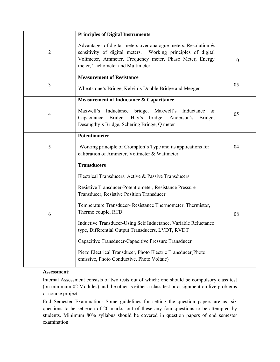|                | <b>Principles of Digital Instruments</b>                                                                                                                                                                                        |    |
|----------------|---------------------------------------------------------------------------------------------------------------------------------------------------------------------------------------------------------------------------------|----|
| $\overline{2}$ | Advantages of digital meters over analogue meters. Resolution &<br>sensitivity of digital meters. Working principles of digital<br>Voltmeter, Ammeter, Frequency meter, Phase Meter, Energy<br>meter, Tachometer and Multimeter | 10 |
| 3              | <b>Measurement of Resistance</b><br>Wheatstone's Bridge, Kelvin's Double Bridge and Megger                                                                                                                                      | 05 |
| $\overline{4}$ | Measurement of Inductance & Capacitance<br>Maxwell's<br>Inductance<br>bridge, Maxwell's<br>Inductance<br>&<br>Capacitance<br>Bridge, Hay's bridge, Anderson's Bridge,                                                           | 05 |
|                | Desaugthy's Bridge, Schering Bridge, Q meter                                                                                                                                                                                    |    |
| 5              | <b>Potentiometer</b><br>Working principle of Crompton's Type and its applications for<br>calibration of Ammeter, Voltmeter & Wattmeter                                                                                          | 04 |
|                | <b>Transducers</b>                                                                                                                                                                                                              |    |
|                | Electrical Transducers, Active & Passive Transducers                                                                                                                                                                            |    |
|                | Resistive Transducer-Potentiometer, Resistance Pressure<br>Transducer, Resistive Position Transducer                                                                                                                            |    |
| 6              | Temperature Transducer-Resistance Thermometer, Thermistor,<br>Thermo couple, RTD                                                                                                                                                | 08 |
|                | Inductive Transducer-Using Self Inductance, Variable Reluctance<br>type, Differential Output Transducers, LVDT, RVDT                                                                                                            |    |
|                | Capacitive Transducer-Capacitive Pressure Transducer                                                                                                                                                                            |    |
|                | Piezo Electrical Transducer, Photo Electric Transducer(Photo<br>emissive, Photo Conductive, Photo Voltaic)                                                                                                                      |    |

Internal Assessment consists of two tests out of which; one should be compulsory class test (on minimum 02 Modules) and the other is either a class test or assignment on live problems or course project.

End Semester Examination: Some guidelines for setting the question papers are as, six questions to be set each of 20 marks, out of these any four questions to be attempted by students. Minimum 80% syllabus should be covered in question papers of end semester examination.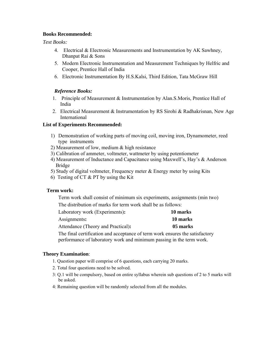## **Books Recommended:**

*Text Books:* 

- 4. Electrical & Electronic Measurements and Instrumentation by AK Sawhney, Dhanpat Rai & Sons
- 5. Modern Electronic Instrumentation and Measurement Techniques by Helfric and Cooper, Prentice Hall of India
- 6. Electronic Instrumentation By H.S.Kalsi, Third Edition, Tata McGraw Hill

#### *Reference Books:*

- 1. Principle of Measurement & Instrumentation by Alan.S.Moris, Prentice Hall of India
- 2. Electrical Measurement & Instrumentation by RS Sirohi & Radhakrisnan, New Age International

#### **List of Experiments Recommended:**

- 1) Demonstration of working parts of moving coil, moving iron, Dynamometer, reed type instruments
- 2) Measurement of low, medium & high resistance
- 3) Calibration of ammeter, voltmeter, wattmeter by using potentiometer
- 4) Measurement of Inductance and Capacitance using Maxwell's, Hay's & Anderson Bridge
- 5) Study of digital voltmeter, Frequency meter & Energy meter by using Kits
- 6) Testing of CT & PT by using the Kit

#### **Term work:**

Term work shall consist of minimum six experiments, assignments (min two) The distribution of marks for term work shall be as follows:

| Laboratory work (Experiments):     | 10 marks |
|------------------------------------|----------|
| Assignments:                       | 10 marks |
| Attendance (Theory and Practical): | 05 marks |

The final certification and acceptance of term work ensures the satisfactory performance of laboratory work and minimum passing in the term work.

- 1. Question paper will comprise of 6 questions, each carrying 20 marks.
- 2. Total four questions need to be solved.
- 3: Q.1 will be compulsory, based on entire syllabus wherein sub questions of 2 to 5 marks will be asked.
- 4: Remaining question will be randomly selected from all the modules.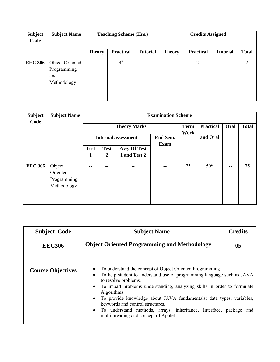| <b>Subject</b><br>Code | <b>Subject Name</b>                                  | <b>Teaching Scheme (Hrs.)</b> |                  |                 |               | <b>Credits Assigned</b> |                 |              |
|------------------------|------------------------------------------------------|-------------------------------|------------------|-----------------|---------------|-------------------------|-----------------|--------------|
|                        |                                                      | <b>Theory</b>                 | <b>Practical</b> | <b>Tutorial</b> | <b>Theory</b> | <b>Practical</b>        | <b>Tutorial</b> | <b>Total</b> |
| <b>EEC 306</b>         | Object Oriented<br>Programming<br>and<br>Methodology | $- -$                         | $4^{\#}$         | --              | $- -$         | 2                       | $- -$           | 2            |

| <b>Subject</b><br>Code | <b>Subject Name</b>                              | <b>Examination Scheme</b> |                                                       |                              |  |      |                  |      |              |  |  |
|------------------------|--------------------------------------------------|---------------------------|-------------------------------------------------------|------------------------------|--|------|------------------|------|--------------|--|--|
|                        |                                                  |                           | <b>Theory Marks</b>                                   |                              |  |      | <b>Practical</b> | Oral | <b>Total</b> |  |  |
|                        |                                                  |                           | End Sem.<br><b>Internal assessment</b><br><b>Exam</b> |                              |  | Work | and Oral         |      |              |  |  |
|                        |                                                  | <b>Test</b><br>1          | <b>Test</b><br>$\boldsymbol{2}$                       | Avg. Of Test<br>1 and Test 2 |  |      |                  |      |              |  |  |
|                        |                                                  |                           |                                                       |                              |  |      |                  |      |              |  |  |
| <b>EEC 306</b>         | Object<br>Oriented<br>Programming<br>Methodology | --                        | --                                                    |                              |  | 25   | $50*$            | --   | 75           |  |  |

| <b>Subject Code</b>      | <b>Subject Name</b>                                                                                                                                                                                                                                                                                                                                                                                                                                                                                                                | <b>Credits</b> |  |
|--------------------------|------------------------------------------------------------------------------------------------------------------------------------------------------------------------------------------------------------------------------------------------------------------------------------------------------------------------------------------------------------------------------------------------------------------------------------------------------------------------------------------------------------------------------------|----------------|--|
| <b>EEC306</b>            | <b>Object Oriented Programming and Methodology</b>                                                                                                                                                                                                                                                                                                                                                                                                                                                                                 | 05             |  |
| <b>Course Objectives</b> | To understand the concept of Object Oriented Programming<br>$\bullet$<br>To help student to understand use of programming language such as JAVA<br>$\bullet$<br>to resolve problems.<br>To impart problems understanding, analyzing skills in order to formulate<br>$\bullet$<br>Algorithms.<br>To provide knowledge about JAVA fundamentals: data types, variables,<br>$\bullet$<br>keywords and control structures.<br>• To understand methods, arrays, inheritance, Interface, package<br>multithreading and concept of Applet. | and            |  |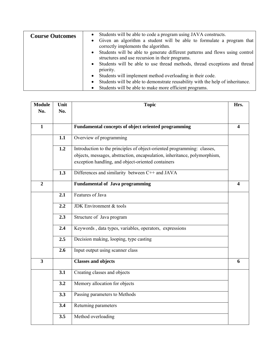| <b>Course Outcomes</b> | Students will be able to code a program using JAVA constructs.<br>$\bullet$                                                                  |
|------------------------|----------------------------------------------------------------------------------------------------------------------------------------------|
|                        | Given an algorithm a student will be able to formulate a program that<br>$\bullet$<br>correctly implements the algorithm.                    |
|                        | Students will be able to generate different patterns and flows using control<br>$\bullet$<br>structures and use recursion in their programs. |
|                        | Students will be able to use thread methods, thread exceptions and thread<br>$\bullet$<br>priority.                                          |
|                        | Students will implement method overloading in their code.<br>$\bullet$                                                                       |
|                        | Students will be able to demonstrate reusability with the help of inheritance.<br>$\bullet$                                                  |
|                        | Students will be able to make more efficient programs.                                                                                       |

| <b>Module</b>           | Unit<br><b>Topic</b><br>No.<br>No. |                                                                                                                                                                                                            |                         |  |
|-------------------------|------------------------------------|------------------------------------------------------------------------------------------------------------------------------------------------------------------------------------------------------------|-------------------------|--|
|                         |                                    |                                                                                                                                                                                                            |                         |  |
| $\mathbf{1}$            |                                    | Fundamental concepts of object oriented programming                                                                                                                                                        | $\overline{\mathbf{4}}$ |  |
|                         | 1.1                                | Overview of programming                                                                                                                                                                                    |                         |  |
|                         | 1.2                                | Introduction to the principles of object-oriented programming: classes,<br>objects, messages, abstraction, encapsulation, inheritance, polymorphism,<br>exception handling, and object-oriented containers |                         |  |
|                         | 1.3                                | Differences and similarity between C++ and JAVA                                                                                                                                                            |                         |  |
| $\overline{2}$          |                                    | <b>Fundamental of Java programming</b>                                                                                                                                                                     | 4                       |  |
|                         | 2.1                                | Features of Java                                                                                                                                                                                           |                         |  |
|                         | 2.2                                | JDK Environment & tools                                                                                                                                                                                    |                         |  |
|                         | 2.3                                | Structure of Java program                                                                                                                                                                                  |                         |  |
|                         | 2.4                                | Keywords, data types, variables, operators, expressions                                                                                                                                                    |                         |  |
|                         | 2.5                                | Decision making, looping, type casting                                                                                                                                                                     |                         |  |
|                         | 2.6                                | Input output using scanner class                                                                                                                                                                           |                         |  |
| $\overline{\mathbf{3}}$ |                                    | <b>Classes and objects</b>                                                                                                                                                                                 | 6                       |  |
|                         | 3.1                                | Creating classes and objects                                                                                                                                                                               |                         |  |
|                         | 3.2                                | Memory allocation for objects                                                                                                                                                                              |                         |  |
|                         | 3.3                                | Passing parameters to Methods                                                                                                                                                                              |                         |  |
|                         | 3.4                                | Returning parameters                                                                                                                                                                                       |                         |  |
|                         | 3.5                                | Method overloading                                                                                                                                                                                         |                         |  |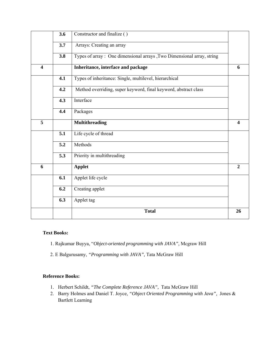|                         | 3.6 | Constructor and finalize ()                                            |                         |
|-------------------------|-----|------------------------------------------------------------------------|-------------------------|
|                         | 3.7 | Arrays: Creating an array                                              |                         |
|                         | 3.8 | Types of array: One dimensional arrays , Two Dimensional array, string |                         |
| $\overline{\mathbf{4}}$ |     | Inheritance, interface and package                                     | 6                       |
|                         | 4.1 | Types of inheritance: Single, multilevel, hierarchical                 |                         |
|                         | 4.2 | Method overriding, super keyword, final keyword, abstract class        |                         |
|                         | 4.3 | Interface                                                              |                         |
|                         | 4.4 | Packages                                                               |                         |
| 5                       |     | <b>Multithreading</b>                                                  | $\overline{\mathbf{4}}$ |
|                         | 5.1 | Life cycle of thread                                                   |                         |
|                         | 5.2 | Methods                                                                |                         |
|                         | 5.3 | Priority in multithreading                                             |                         |
| 6                       |     | <b>Applet</b>                                                          | $\overline{2}$          |
|                         | 6.1 | Applet life cycle                                                      |                         |
|                         | 6.2 | Creating applet                                                        |                         |
|                         | 6.3 | Applet tag                                                             |                         |
|                         |     | <b>Total</b>                                                           | 26                      |

#### **Text Books:**

- 1. Rajkumar Buyya, "*Object-oriented programming with JAVA"*, Mcgraw Hill
- 2. E Balgurusamy, *"Programming with JAVA",* Tata McGraw Hill

#### **Reference Books:**

- 1. Herbert Schildt, *"The Complete Reference JAVA",* Tata McGraw Hill
- 2. Barry Holmes and Daniel T. Joyce, *"Object Oriented Programming with Java",* Jones & Bartlett Learning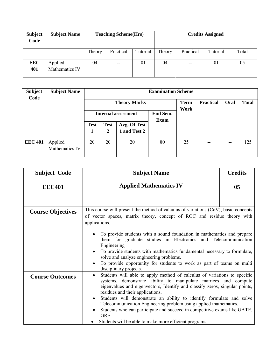| <b>Subject</b><br>Code | <b>Subject Name</b>       | <b>Teaching Scheme(Hrs)</b> |                          |          | <b>Credits Assigned</b> |           |          |       |  |
|------------------------|---------------------------|-----------------------------|--------------------------|----------|-------------------------|-----------|----------|-------|--|
|                        |                           | Theory                      | Practical                | Tutorial | Theory                  | Practical | Tutorial | Total |  |
| <b>EEC</b><br>401      | Applied<br>Mathematics IV | 04                          | $\overline{\phantom{m}}$ | 01       | 04                      | $- -$     | 01       | 05    |  |

| <b>Subject</b><br>Code | <b>Subject Name</b>       | <b>Examination Scheme</b>  |                |              |                         |                     |                  |      |              |  |  |
|------------------------|---------------------------|----------------------------|----------------|--------------|-------------------------|---------------------|------------------|------|--------------|--|--|
|                        |                           | <b>Theory Marks</b>        |                |              |                         | <b>Term</b><br>Work | <b>Practical</b> | Oral | <b>Total</b> |  |  |
|                        |                           | <b>Internal assessment</b> |                |              | End Sem.<br><b>Exam</b> |                     |                  |      |              |  |  |
|                        |                           | <b>Test</b>                | <b>Test</b>    | Avg. Of Test |                         |                     |                  |      |              |  |  |
|                        |                           | 1                          | $\overline{2}$ | 1 and Test 2 |                         |                     |                  |      |              |  |  |
| <b>EEC 401</b>         | Applied<br>Mathematics IV | 20                         | 20             | 20           | 80                      | 25                  |                  | --   | 125          |  |  |

| <b>Subject Code</b>      | <b>Subject Name</b>                                                                                                                                                                                                                                                                                                                                                                                                                                                                                                                                                                | <b>Credits</b> |  |  |  |  |  |
|--------------------------|------------------------------------------------------------------------------------------------------------------------------------------------------------------------------------------------------------------------------------------------------------------------------------------------------------------------------------------------------------------------------------------------------------------------------------------------------------------------------------------------------------------------------------------------------------------------------------|----------------|--|--|--|--|--|
| <b>EEC401</b>            | <b>Applied Mathematics IV</b>                                                                                                                                                                                                                                                                                                                                                                                                                                                                                                                                                      | 0 <sub>5</sub> |  |  |  |  |  |
|                          |                                                                                                                                                                                                                                                                                                                                                                                                                                                                                                                                                                                    |                |  |  |  |  |  |
| <b>Course Objectives</b> | This course will present the method of calculus of variations (CoV), basic concepts<br>of vector spaces, matrix theory, concept of ROC and residue theory with<br>applications.                                                                                                                                                                                                                                                                                                                                                                                                    |                |  |  |  |  |  |
|                          | To provide students with a sound foundation in mathematics and prepare<br>them for graduate studies in Electronics and Telecommunication<br>Engineering<br>To provide students with mathematics fundamental necessary to formulate,<br>$\bullet$<br>solve and analyze engineering problems.<br>To provide opportunity for students to work as part of teams on multi<br>$\bullet$<br>disciplinary projects.                                                                                                                                                                        |                |  |  |  |  |  |
| <b>Course Outcomes</b>   | Students will able to apply method of calculus of variations to specific<br>$\bullet$<br>systems, demonstrate ability to manipulate matrices and compute<br>eigenvalues and eigenvectors, Identify and classify zeros, singular points,<br>residues and their applications.<br>Students will demonstrate an ability to identify formulate and solve<br>$\bullet$<br>Telecommunication Engineering problem using applied mathematics.<br>Students who can participate and succeed in competitive exams like GATE,<br>GRE.<br>Students will be able to make more efficient programs. |                |  |  |  |  |  |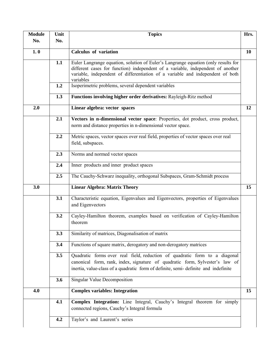| <b>Module</b> | Unit | <b>Topics</b>                                                                                                                                                                                                                                                        | Hrs. |
|---------------|------|----------------------------------------------------------------------------------------------------------------------------------------------------------------------------------------------------------------------------------------------------------------------|------|
| No.           | No.  |                                                                                                                                                                                                                                                                      |      |
|               |      |                                                                                                                                                                                                                                                                      |      |
| 1.0           |      | Calculus of variation                                                                                                                                                                                                                                                | 10   |
|               | 1.1  | Euler Langrange equation, solution of Euler's Langrange equation (only results for<br>different cases for function) independent of a variable, independent of another<br>variable, independent of differentiation of a variable and independent of both<br>variables |      |
|               | 1.2  | Isoperimetric problems, several dependent variables                                                                                                                                                                                                                  |      |
|               | 1.3  | Functions involving higher order derivatives: Rayleigh-Ritz method                                                                                                                                                                                                   |      |
| 2.0           |      | Linear algebra: vector spaces                                                                                                                                                                                                                                        | 12   |
|               | 2.1  | Vectors in n-dimensional vector space: Properties, dot product, cross product,<br>norm and distance properties in n-dimensional vector space.                                                                                                                        |      |
|               | 2.2  | Metric spaces, vector spaces over real field, properties of vector spaces over real<br>field, subspaces.                                                                                                                                                             |      |
|               | 2.3  | Norms and normed vector spaces                                                                                                                                                                                                                                       |      |
|               | 2.4  | Inner products and inner product spaces                                                                                                                                                                                                                              |      |
|               | 2.5  | The Cauchy-Schwarz inequality, orthogonal Subspaces, Gram-Schmidt process                                                                                                                                                                                            |      |
| 3.0           |      | <b>Linear Algebra: Matrix Theory</b>                                                                                                                                                                                                                                 | 15   |
|               | 3.1  | Characteristic equation, Eigenvalues and Eigenvectors, properties of Eigenvalues<br>and Eigenvectors                                                                                                                                                                 |      |
|               | 3.2  | Cayley-Hamilton theorem, examples based on verification of Cayley-Hamilton<br>theorem                                                                                                                                                                                |      |
|               | 3.3  | Similarity of matrices, Diagonalisation of matrix                                                                                                                                                                                                                    |      |
|               | 3.4  | Functions of square matrix, derogatory and non-derogatory matrices                                                                                                                                                                                                   |      |
|               | 3.5  | Quadratic forms over real field, reduction of quadratic form to a diagonal<br>canonical form, rank, index, signature of quadratic form, Sylvester's law of<br>inertia, value-class of a quadratic form of definite, semi-definite and indefinite                     |      |
|               | 3.6  | Singular Value Decomposition                                                                                                                                                                                                                                         |      |
| 4.0           |      | <b>Complex variables: Integration</b>                                                                                                                                                                                                                                | 15   |
|               | 4.1  | Complex Integration: Line Integral, Cauchy's Integral theorem for simply<br>connected regions, Cauchy's Integral formula                                                                                                                                             |      |
|               | 4.2  | Taylor's and Laurent's series                                                                                                                                                                                                                                        |      |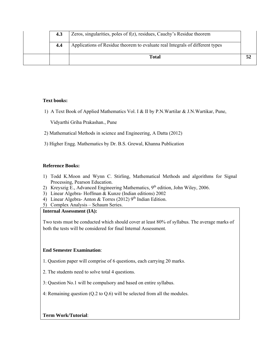| 4.3 | Zeros, singularities, poles of f(z), residues, Cauchy's Residue theorem       |  |
|-----|-------------------------------------------------------------------------------|--|
| 4.4 | Applications of Residue theorem to evaluate real Integrals of different types |  |
|     | Total                                                                         |  |

#### **Text books:**

1) A Text Book of Applied Mathematics Vol. I & II by P.N.Wartilar & J.N.Wartikar, Pune,

Vidyarthi Griha Prakashan., Pune

- 2) Mathematical Methods in science and Engineering, A Datta (2012)
- 3) Higher Engg. Mathematics by Dr. B.S. Grewal, Khanna Publication

#### **Reference Books:**

- 1) Todd K.Moon and Wynn C. Stirling, Mathematical Methods and algorithms for Signal Processing, Pearson Education.
- 2) Kreyszig E., Advanced Engineering Mathematics,  $9<sup>th</sup>$  edition, John Wiley, 2006.
- 3) Linear Algebra- Hoffman & Kunze (Indian editions) 2002
- 4) Linear Algebra- Anton & Torres (2012)  $9<sup>th</sup>$  Indian Edition.
- 5) Complex Analysis Schaum Series.

#### **Internal Assessment (IA):**

Two tests must be conducted which should cover at least 80% of syllabus. The average marks of both the tests will be considered for final Internal Assessment.

#### **End Semester Examination**:

- 1. Question paper will comprise of 6 questions, each carrying 20 marks.
- 2. The students need to solve total 4 questions.
- 3: Question No.1 will be compulsory and based on entire syllabus.
- 4: Remaining question (Q.2 to Q.6) will be selected from all the modules.

## **Term Work/Tutorial**: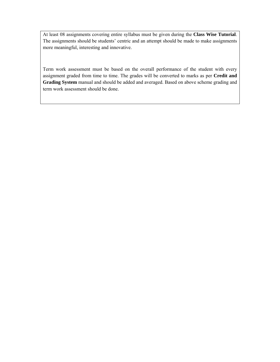At least 08 assignments covering entire syllabus must be given during the **Class Wise Tutorial**. The assignments should be students' centric and an attempt should be made to make assignments more meaningful, interesting and innovative.

Term work assessment must be based on the overall performance of the student with every assignment graded from time to time. The grades will be converted to marks as per **Credit and Grading System** manual and should be added and averaged. Based on above scheme grading and term work assessment should be done.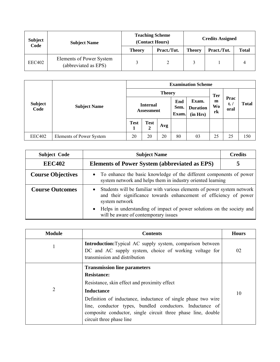| <b>Subject</b><br>Code | <b>Subject Name</b>                              |               | <b>Teaching Scheme</b><br>(Contact Hours) | <b>Credits Assigned</b> |             |              |  |
|------------------------|--------------------------------------------------|---------------|-------------------------------------------|-------------------------|-------------|--------------|--|
|                        |                                                  | <b>Theory</b> | Pract./Tut.                               | <b>Theory</b>           | Pract./Tut. | <b>Total</b> |  |
| EEC402                 | Elements of Power System<br>(abbreviated as EPS) |               |                                           |                         |             |              |  |

| <b>Subject</b><br>Code |                          | <b>Examination Scheme</b> |                               |               |                                                              |    |                      |                               |              |  |
|------------------------|--------------------------|---------------------------|-------------------------------|---------------|--------------------------------------------------------------|----|----------------------|-------------------------------|--------------|--|
|                        |                          |                           |                               | <b>Theory</b> |                                                              |    | <b>Ter</b>           |                               |              |  |
|                        | <b>Subject Name</b>      |                           | <b>Internal</b><br>Assessment |               | Exam.<br>End<br>Sem.<br><b>Duration</b><br>Exam.<br>(in Hrs) |    | m<br><b>Wo</b><br>rk | Prac<br>$t_{\bullet}$<br>oral | <b>Total</b> |  |
|                        |                          | <b>Test</b><br>1          | <b>Test</b><br>2              | Avg           |                                                              |    |                      |                               |              |  |
| <b>EEC402</b>          | Elements of Power System | 20                        | 20                            | 20            | 80                                                           | 03 | 25                   | 25                            | 150          |  |

| <b>Subject Code</b>      | <b>Credits</b><br><b>Subject Name</b>                                                                                                                          |  |  |  |  |  |
|--------------------------|----------------------------------------------------------------------------------------------------------------------------------------------------------------|--|--|--|--|--|
| <b>EEC402</b>            | <b>Elements of Power System (abbreviated as EPS)</b>                                                                                                           |  |  |  |  |  |
| <b>Course Objectives</b> | • To enhance the basic knowledge of the different components of power<br>system network and helps them in industry oriented learning                           |  |  |  |  |  |
| <b>Course Outcomes</b>   | Students will be familiar with various elements of power system network<br>and their significance towards enhancement of efficiency of power<br>system network |  |  |  |  |  |
|                          | Helps in understanding of impact of power solutions on the society and<br>will be aware of contemporary issues                                                 |  |  |  |  |  |

| <b>Module</b> | <b>Contents</b>                                                                                                                                              | <b>Hours</b> |
|---------------|--------------------------------------------------------------------------------------------------------------------------------------------------------------|--------------|
|               | <b>Introduction:</b> Typical AC supply system, comparison between<br>DC and AC supply system, choice of working voltage for<br>transmission and distribution | 02           |
|               | <b>Transmission line parameters</b>                                                                                                                          |              |
|               | <b>Resistance:</b>                                                                                                                                           |              |
|               | Resistance, skin effect and proximity effect                                                                                                                 |              |
| 2             | <b>Inductance</b>                                                                                                                                            | 10           |
|               | Definition of inductance, inductance of single phase two wire                                                                                                |              |
|               | line, conductor types, bundled conductors. Inductance of                                                                                                     |              |
|               | composite conductor, single circuit three phase line, double                                                                                                 |              |
|               | circuit three phase line                                                                                                                                     |              |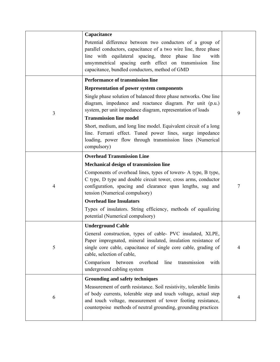|                | Capacitance<br>Potential difference between two conductors of a group of<br>parallel conductors, capacitance of a two wire line, three phase<br>line with equilateral spacing, three phase line<br>with<br>unsymmetrical spacing earth effect on transmission line<br>capacitance, bundled conductors, method of GMD            |                |
|----------------|---------------------------------------------------------------------------------------------------------------------------------------------------------------------------------------------------------------------------------------------------------------------------------------------------------------------------------|----------------|
|                | <b>Performance of transmission line</b>                                                                                                                                                                                                                                                                                         |                |
|                | <b>Representation of power system components</b>                                                                                                                                                                                                                                                                                |                |
| 3              | Single phase solution of balanced three phase networks. One line<br>diagram, impedance and reactance diagram. Per unit (p.u.)<br>system, per unit impedance diagram, representation of loads                                                                                                                                    | 9              |
|                | <b>Transmission line model</b>                                                                                                                                                                                                                                                                                                  |                |
|                | Short, medium, and long line model. Equivalent circuit of a long<br>line. Ferranti effect. Tuned power lines, surge impedance<br>loading, power flow through transmission lines (Numerical<br>compulsory)                                                                                                                       |                |
|                | <b>Overhead Transmission Line</b>                                                                                                                                                                                                                                                                                               |                |
|                | <b>Mechanical design of transmission line</b>                                                                                                                                                                                                                                                                                   |                |
| $\overline{4}$ | Components of overhead lines, types of towers- A type, B type,<br>C type, D type and double circuit tower, cross arms, conductor<br>configuration, spacing and clearance span lengths, sag and<br>tension (Numerical compulsory)                                                                                                | 7              |
|                | <b>Overhead line Insulators</b>                                                                                                                                                                                                                                                                                                 |                |
|                | Types of insulators. String efficiency, methods of equalizing<br>potential (Numerical compulsory)                                                                                                                                                                                                                               |                |
|                | <b>Underground Cable</b>                                                                                                                                                                                                                                                                                                        |                |
| 5              | General construction, types of cable-PVC insulated, XLPE,<br>Paper impregnated, mineral insulated, insulation resistance of<br>single core cable, capacitance of single core cable, grading of<br>cable, selection of cable,<br>Comparison<br>between<br>overhead<br>line<br>transmission<br>with<br>underground cabling system | $\overline{4}$ |
|                | <b>Grounding and safety techniques</b>                                                                                                                                                                                                                                                                                          |                |
| 6              | Measurement of earth resistance. Soil resistivity, tolerable limits<br>of body currents, tolerable step and touch voltage, actual step<br>and touch voltage, measurement of tower footing resistance,<br>counterpoise methods of neutral grounding, grounding practices                                                         | $\overline{4}$ |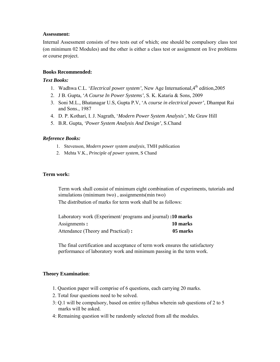Internal Assessment consists of two tests out of which; one should be compulsory class test (on minimum 02 Modules) and the other is either a class test or assignment on live problems or course project.

#### **Books Recommended:**

#### *Text Books:*

- 1. Wadhwa C.L. '*Electrical power system'*, New Age International, 4<sup>th</sup> edition.2005
- 2. J B. Gupta, '*A Course In Power Systems'*, S. K. Kataria & Sons, 2009
- 3. Soni M.L., Bhatanagar U.S, Gupta P.V, 'A *course in electrical power'*, Dhampat Rai and Sons., 1987
- 4. D. P. Kothari, I. J. Nagrath, '*Modern Power System Analysis'*, Mc Graw Hill
- 5. B.R. Gupta*, 'Power System Analysis And Design'*, S.Chand

#### *Reference Books:*

- 1. Stevenson, *Modern power system analysis*, TMH publication
- 2. Mehta V.K., *Principle of power system*, S Chand

#### **Term work:**

Term work shall consist of minimum eight combination of experiments, tutorials and simulations (minimum two) , assignments(min two)

The distribution of marks for term work shall be as follows:

| Laboratory work (Experiment/ programs and journal): 10 marks |          |
|--------------------------------------------------------------|----------|
| Assignments:                                                 | 10 marks |
| Attendance (Theory and Practical):                           | 05 marks |

The final certification and acceptance of term work ensures the satisfactory performance of laboratory work and minimum passing in the term work.

- 1. Question paper will comprise of 6 questions, each carrying 20 marks.
- 2. Total four questions need to be solved.
- 3: Q.1 will be compulsory, based on entire syllabus wherein sub questions of 2 to 5 marks will be asked.
- 4: Remaining question will be randomly selected from all the modules.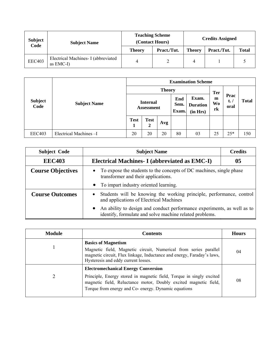| <b>Subject</b><br>Code | <b>Subject Name</b>                              | <b>Teaching Scheme</b><br>(Contact Hours) |             | <b>Credits Assigned</b> |             |              |  |
|------------------------|--------------------------------------------------|-------------------------------------------|-------------|-------------------------|-------------|--------------|--|
|                        |                                                  | <b>Theory</b>                             | Pract./Tut. | <b>Theory</b>           | Pract./Tut. | <b>Total</b> |  |
| <b>EEC403</b>          | Electrical Machines- I (abbreviated<br>as EMC-I) | 4                                         |             |                         |             |              |  |

|                        |                       | <b>Examination Scheme</b>            |                  |                      |                                      |                                    |                               |       |     |  |
|------------------------|-----------------------|--------------------------------------|------------------|----------------------|--------------------------------------|------------------------------------|-------------------------------|-------|-----|--|
|                        | <b>Subject Name</b>   | <b>Theory</b>                        |                  |                      |                                      |                                    |                               |       |     |  |
| <b>Subject</b><br>Code |                       | <b>Internal</b><br><b>Assessment</b> |                  | End<br>Sem.<br>Exam. | Exam.<br><b>Duration</b><br>(in Hrs) | <b>Ter</b><br>m<br><b>Wo</b><br>rk | Prac<br>$t_{\bullet}$<br>oral | Total |     |  |
|                        |                       | <b>Test</b>                          | <b>Test</b><br>2 | Avg                  |                                      |                                    |                               |       |     |  |
| <b>EEC403</b>          | Electrical Machines-I | 20                                   | 20               | 20                   | 80                                   | 03                                 | 25                            | $25*$ | 150 |  |

| <b>Subject Code</b>      | <b>Subject Name</b><br><b>Credits</b>                                                                                                           |                                                                      |  |  |  |  |
|--------------------------|-------------------------------------------------------------------------------------------------------------------------------------------------|----------------------------------------------------------------------|--|--|--|--|
| <b>EEC403</b>            | Electrical Machines- I (abbreviated as EMC-I)                                                                                                   | 05                                                                   |  |  |  |  |
| <b>Course Objectives</b> | To expose the students to the concepts of DC machines, single phase<br>$\bullet$<br>transformer and their applications.                         |                                                                      |  |  |  |  |
|                          | • To impart industry oriented learning.                                                                                                         |                                                                      |  |  |  |  |
| <b>Course Outcomes</b>   | $\bullet$<br>and applications of Electrical Machines                                                                                            | Students will be knowing the working principle, performance, control |  |  |  |  |
|                          | An ability to design and conduct performance experiments, as well as to<br>$\bullet$<br>identify, formulate and solve machine related problems. |                                                                      |  |  |  |  |

| <b>Module</b> | <b>Contents</b>                                                                                                                                                                                                                                | <b>Hours</b> |
|---------------|------------------------------------------------------------------------------------------------------------------------------------------------------------------------------------------------------------------------------------------------|--------------|
|               | <b>Basics of Magnetism</b><br>Magnetic field, Magnetic circuit, Numerical from series parallel<br>magnetic circuit, Flux linkage, Inductance and energy, Faraday's laws,<br>Hysteresis and eddy current losses.                                | 04           |
| ∍             | <b>Electromechanical Energy Conversion</b><br>Principle, Energy stored in magnetic field, Torque in singly excited<br>magnetic field, Reluctance motor, Doubly excited magnetic field,<br>Torque from energy and Co- energy. Dynamic equations | 08           |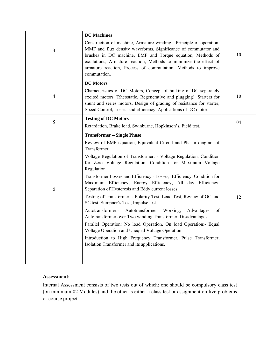|                | <b>DC</b> Machines                                                                                                                                                                                                                                                                                                                                                                                                                                                                                                                                                                                                                                                                                                                                                                                                                                                                                                                                                   |    |
|----------------|----------------------------------------------------------------------------------------------------------------------------------------------------------------------------------------------------------------------------------------------------------------------------------------------------------------------------------------------------------------------------------------------------------------------------------------------------------------------------------------------------------------------------------------------------------------------------------------------------------------------------------------------------------------------------------------------------------------------------------------------------------------------------------------------------------------------------------------------------------------------------------------------------------------------------------------------------------------------|----|
| 3              | Construction of machine, Armature winding, Principle of operation,<br>MMF and flux density waveforms, Significance of commutator and<br>brushes in DC machine, EMF and Torque equation, Methods of<br>excitations, Armature reaction, Methods to minimize the effect of<br>armature reaction, Process of commutation, Methods to improve<br>commutation.                                                                                                                                                                                                                                                                                                                                                                                                                                                                                                                                                                                                             | 10 |
|                | <b>DC</b> Motors                                                                                                                                                                                                                                                                                                                                                                                                                                                                                                                                                                                                                                                                                                                                                                                                                                                                                                                                                     |    |
| $\overline{4}$ | Characteristics of DC Motors, Concept of braking of DC separately<br>excited motors (Rheostatic, Regenerative and plugging). Starters for<br>shunt and series motors, Design of grading of resistance for starter,<br>Speed Control, Losses and efficiency, Applications of DC motor.                                                                                                                                                                                                                                                                                                                                                                                                                                                                                                                                                                                                                                                                                | 10 |
| 5              | <b>Testing of DC Motors</b>                                                                                                                                                                                                                                                                                                                                                                                                                                                                                                                                                                                                                                                                                                                                                                                                                                                                                                                                          |    |
|                | Retardation, Brake load, Swinburne, Hopkinson's, Field test.                                                                                                                                                                                                                                                                                                                                                                                                                                                                                                                                                                                                                                                                                                                                                                                                                                                                                                         | 04 |
| 6              | <b>Transformer - Single Phase</b><br>Review of EMF equation, Equivalent Circuit and Phasor diagram of<br>Transformer.<br>Voltage Regulation of Transformer: - Voltage Regulation, Condition<br>for Zero Voltage Regulation, Condition for Maximum Voltage<br>Regulation.<br>Transformer Losses and Efficiency - Losses, Efficiency, Condition for<br>Maximum Efficiency, Energy Efficiency, All day Efficiency,<br>Separation of Hysteresis and Eddy current losses<br>Testing of Transformer: - Polarity Test, Load Test, Review of OC and<br>SC test, Sumpner's Test, Impulse test.<br>Autotransformer:-<br>Autotransformer<br>Working,<br>Advantages<br>οf<br>Autotransformer over Two winding Transformer, Disadvantages<br>Parallel Operation: No load Operation, On load Operation:- Equal<br>Voltage Operation and Unequal Voltage Operation<br>Introduction to High Frequency Transformer, Pulse Transformer,<br>Isolation Transformer and its applications. | 12 |

Internal Assessment consists of two tests out of which; one should be compulsory class test (on minimum 02 Modules) and the other is either a class test or assignment on live problems or course project.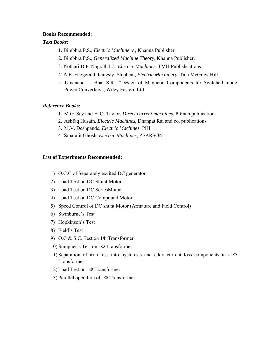#### **Books Recommended:**

#### *Text Books:*

- 1. Bimbhra P.S., *Electric Machinery* , Khanna Publisher,
- 2. Bimbhra P.S., *Generalized Machine Theory*, Khanna Publisher,
- 3. Kothari D.P, Nagrath I.J., *Electric Machines*, TMH Publishcations
- 4. A.E. Fitzgerald, Kingsly, Stephen., *Electric Machinery,* Tata McGraw Hill
- 5. Umanand L, Bhat S.R., "Design of Magnetic Components for Switched mode Power Converters", Wiley Eastern Ltd.

#### *Reference Books:*

- 1. M.G. Say and E. O. Taylor, *Direct current machines*, Pitman publication
- 2. Ashfaq Husain, *Electric Machines*, Dhanpat Rai and co. publications
- 3. M.V. Deshpande, *Electric Machines*, PHI
- 4. Smarajit Ghosh, *Electric Machines*, PEARSON

#### **List of Experiments Recommended:**

- 1) O.C.C of Separately excited DC generator
- 2) Load Test on DC Shunt Motor
- 3) Load Test on DC SeriesMotor
- 4) Load Test on DC Compound Motor
- 5) Speed Control of DC shunt Motor (Armature and Field Control)
- 6) Swinburne's Test
- 7) Hopkinson's Test
- 8) Field's Test
- 9) O.C & S.C. Test on 1Φ Transformer
- 10) Sumpner's Test on 1Φ Transformer
- 11) Separation of iron loss into hysteresis and eddy current loss components in a1Φ Transformer
- 12) Load Test on 1Φ Transformer
- 13) Parallel operation of 1Φ Transformer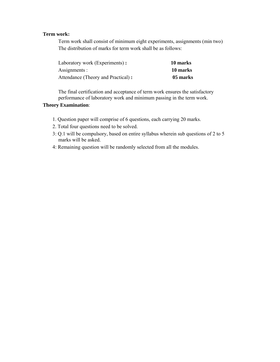## **Term work:**

Term work shall consist of minimum eight experiments, assignments (min two) The distribution of marks for term work shall be as follows:

| Laboratory work (Experiments):     | 10 marks |
|------------------------------------|----------|
| Assignments :                      | 10 marks |
| Attendance (Theory and Practical): | 05 marks |

The final certification and acceptance of term work ensures the satisfactory performance of laboratory work and minimum passing in the term work.

- 1. Question paper will comprise of 6 questions, each carrying 20 marks.
- 2. Total four questions need to be solved.
- 3: Q.1 will be compulsory, based on entire syllabus wherein sub questions of 2 to 5 marks will be asked.
- 4: Remaining question will be randomly selected from all the modules.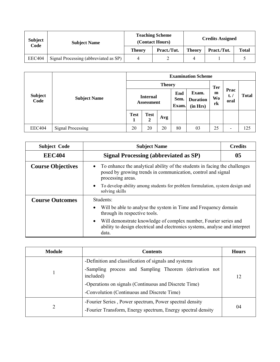| <b>Subject</b><br>Code | <b>Subject Name</b>                   |               | <b>Teaching Scheme</b><br>(Contact Hours) | <b>Credits Assigned</b> |             |              |  |
|------------------------|---------------------------------------|---------------|-------------------------------------------|-------------------------|-------------|--------------|--|
|                        |                                       | <b>Theory</b> | Pract./Tut.                               | <b>Theory</b>           | Pract./Tut. | <b>Total</b> |  |
| <b>EEC404</b>          | Signal Processing (abbreviated as SP) |               |                                           | Δ                       |             |              |  |

|                        |                          | <b>Examination Scheme</b>            |                               |                      |                                      |                                    |                               |                          |     |
|------------------------|--------------------------|--------------------------------------|-------------------------------|----------------------|--------------------------------------|------------------------------------|-------------------------------|--------------------------|-----|
|                        | <b>Subject Name</b>      | <b>Theory</b>                        |                               |                      |                                      |                                    |                               |                          |     |
| <b>Subject</b><br>Code |                          | <b>Internal</b><br><b>Assessment</b> |                               | End<br>Sem.<br>Exam. | Exam.<br><b>Duration</b><br>(in Hrs) | <b>Ter</b><br>m<br><b>Wo</b><br>rk | Prac<br>$t_{\bullet}$<br>oral | <b>Total</b>             |     |
|                        |                          | <b>Test</b><br>л                     | <b>Test</b><br>$\overline{2}$ | Avg                  |                                      |                                    |                               |                          |     |
| <b>EEC404</b>          | <b>Signal Processing</b> | 20                                   | 20                            | 20                   | 80                                   | 03                                 | 25                            | $\overline{\phantom{a}}$ | 125 |

| <b>Subject Code</b>      | <b>Subject Name</b><br><b>Credits</b>                                                                                                                                                                  |                                                                              |  |  |  |  |  |
|--------------------------|--------------------------------------------------------------------------------------------------------------------------------------------------------------------------------------------------------|------------------------------------------------------------------------------|--|--|--|--|--|
| <b>EEC404</b>            | Signal Processing (abbreviated as SP)                                                                                                                                                                  | 05                                                                           |  |  |  |  |  |
| <b>Course Objectives</b> | To enhance the analytical ability of the students in facing the challenges<br>$\bullet$<br>posed by growing trends in communication, control and signal<br>processing areas.                           |                                                                              |  |  |  |  |  |
|                          | $\bullet$<br>solving skills                                                                                                                                                                            | To develop ability among students for problem formulation, system design and |  |  |  |  |  |
| <b>Course Outcomes</b>   | Students:<br>Will be able to analyse the system in Time and Frequency domain<br>$\bullet$                                                                                                              |                                                                              |  |  |  |  |  |
|                          | through its respective tools.<br>Will demonstrate knowledge of complex number, Fourier series and<br>$\bullet$<br>ability to design electrical and electronics systems, analyse and interpret<br>data. |                                                                              |  |  |  |  |  |

| <b>Module</b> | <b>Contents</b>                                                                                                                                                                                                                      | <b>Hours</b> |
|---------------|--------------------------------------------------------------------------------------------------------------------------------------------------------------------------------------------------------------------------------------|--------------|
|               | -Definition and classification of signals and systems<br>-Sampling process and Sampling Theorem (derivation not<br>included)<br>-Operations on signals (Continuous and Discrete Time)<br>-Convolution (Continuous and Discrete Time) | 12           |
| 2             | -Fourier Series, Power spectrum, Power spectral density<br>-Fourier Transform, Energy spectrum, Energy spectral density                                                                                                              | 04           |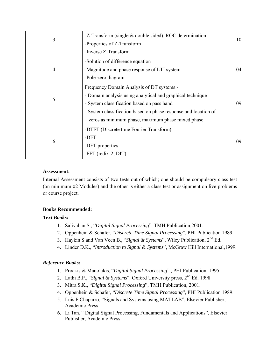| 3              | -Z-Transform (single & double sided), ROC determination         | 10 |
|----------------|-----------------------------------------------------------------|----|
|                | -Properties of Z-Transform                                      |    |
|                | -Inverse Z-Transform                                            |    |
|                | -Solution of difference equation                                |    |
| $\overline{4}$ | -Magnitude and phase response of LTI system                     | 04 |
|                | -Pole-zero diagram                                              |    |
|                | Frequency Domain Analysis of DT systems:-                       |    |
| 5              | - Domain analysis using analytical and graphical technique      |    |
|                | - System classification based on pass band                      | 09 |
|                | - System classification based on phase response and location of |    |
|                | zeros as minimum phase, maximum phase mixed phase               |    |
|                | -DTFT (Discrete time Fourier Transform)                         |    |
| 6              | -DFT                                                            | 09 |
|                | -DFT properties                                                 |    |
|                | -FFT (redix-2, DIT)                                             |    |

Internal Assessment consists of two tests out of which; one should be compulsory class test (on minimum 02 Modules) and the other is either a class test or assignment on live problems or course project.

## **Books Recommended:**

## *Text Books:*

- 1. Salivahan S., "*Digital Signal Processing*", TMH Publication,2001.
- 2. Oppenhein & Schafer, "*Discrete Time Signal Processing*", PHI Publication 1989.
- 3. Haykin S and Van Veen B., "*Signal & Systems*", Wiley Publication, 2nd Ed.
- 4. Linder D.K., "*Introduction to Signal & Systems*", McGraw Hill International,1999.

## *Reference Books:*

- 1. Proakis & Manolakis, "*Digital Signal Processing*" , PHI Publication, 1995
- 2. Lathi B.P., "Signal & Systems", Oxford University press, 2<sup>nd</sup> Ed. 1998
- 3. Mitra S.K., "*Digital Signal Processing*", TMH Publication, 2001.
- 4. Oppenhein & Schafer, "*Discrete Time Signal Processing*", PHI Publication 1989.
- 5. Luis F Chaparro, "Signals and Systems using MATLAB", Elsevier Publisher, Academic Press
- 6. Li Tan, " Digital Signal Processing, Fundamentals and Applications", Elsevier Publisher, Academic Press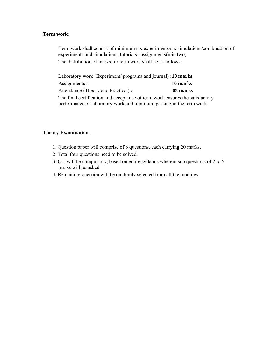#### **Term work:**

Term work shall consist of minimum six experiments/six simulations/combination of experiments and simulations, tutorials , assignments(min two) The distribution of marks for term work shall be as follows:

Laboratory work (Experiment/ programs and journal) **:10 marks**  Assignments : **10 marks**  Attendance (Theory and Practical) **: 05 marks**  The final certification and acceptance of term work ensures the satisfactory performance of laboratory work and minimum passing in the term work.

- 1. Question paper will comprise of 6 questions, each carrying 20 marks.
- 2. Total four questions need to be solved.
- 3: Q.1 will be compulsory, based on entire syllabus wherein sub questions of 2 to 5 marks will be asked.
- 4: Remaining question will be randomly selected from all the modules.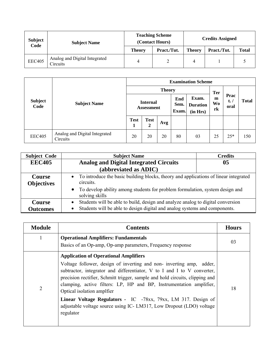| <b>Subject</b><br>Code | <b>Subject Name</b>                       |               | <b>Teaching Scheme</b><br>(Contact Hours) | <b>Credits Assigned</b> |             |              |  |
|------------------------|-------------------------------------------|---------------|-------------------------------------------|-------------------------|-------------|--------------|--|
|                        |                                           | <b>Theory</b> | Pract./Tut.                               | <b>Theory</b>           | Pract./Tut. | <b>Total</b> |  |
| <b>EEC405</b>          | Analog and Digital Integrated<br>Circuits |               |                                           |                         |             |              |  |

|                        |                                           | <b>Examination Scheme</b>            |                             |     |                      |                                      |                                    |                                 |              |  |
|------------------------|-------------------------------------------|--------------------------------------|-----------------------------|-----|----------------------|--------------------------------------|------------------------------------|---------------------------------|--------------|--|
|                        | <b>Subject Name</b>                       | <b>Theory</b>                        |                             |     |                      |                                      |                                    |                                 |              |  |
| <b>Subject</b><br>Code |                                           | <b>Internal</b><br><b>Assessment</b> |                             |     | End<br>Sem.<br>Exam. | Exam.<br><b>Duration</b><br>(in Hrs) | <b>Ter</b><br>m<br><b>Wo</b><br>rk | Prac<br>$t_{\bullet}$ /<br>oral | <b>Total</b> |  |
|                        |                                           | <b>Test</b><br>1                     | <b>Test</b><br>$\mathbf{2}$ | Avg |                      |                                      |                                    |                                 |              |  |
| <b>EEC405</b>          | Analog and Digital Integrated<br>Circuits | 20                                   | 20                          | 20  | 80                   | 03                                   | 25                                 | $25*$                           | 150          |  |

| <b>Subject Code</b>                | <b>Subject Name</b>                                                                                                                                                        | <b>Credits</b> |  |  |  |  |
|------------------------------------|----------------------------------------------------------------------------------------------------------------------------------------------------------------------------|----------------|--|--|--|--|
| <b>EEC405</b>                      | <b>Analog and Digital Integrated Circuits</b>                                                                                                                              | 05             |  |  |  |  |
|                                    | (abbreviated as ADIC)                                                                                                                                                      |                |  |  |  |  |
| <b>Course</b><br><b>Objectives</b> | • To introduce the basic building blocks, theory and applications of linear integrated<br>circuits.                                                                        |                |  |  |  |  |
|                                    | To develop ability among students for problem formulation, system design and<br>$\bullet$<br>solving skills                                                                |                |  |  |  |  |
| Course<br><b>Outcomes</b>          | Students will be able to build, design and analyze analog to digital conversion<br>Students will be able to design digital and analog systems and components.<br>$\bullet$ |                |  |  |  |  |

| <b>Module</b>  | <b>Contents</b>                                                                                                                                                                                                                                                                                                                                                                                                                                                                                                                          | <b>Hours</b> |
|----------------|------------------------------------------------------------------------------------------------------------------------------------------------------------------------------------------------------------------------------------------------------------------------------------------------------------------------------------------------------------------------------------------------------------------------------------------------------------------------------------------------------------------------------------------|--------------|
|                | <b>Operational Amplifiers: Fundamentals</b><br>Basics of an Op-amp, Op-amp parameters, Frequency response                                                                                                                                                                                                                                                                                                                                                                                                                                | 03           |
| $\overline{2}$ | <b>Application of Operational Amplifiers</b><br>Voltage follower, design of inverting and non-inverting amp, adder,<br>subtractor, integrator and differentiator, V to I and I to V converter,<br>precision rectifier, Schmitt trigger, sample and hold circuits, clipping and<br>clamping, active filters: LP, HP and BP, Instrumentation amplifier,<br>Optical isolation amplifer<br>Linear Voltage Regulators - IC -78xx, 79xx, LM 317. Design of<br>adjustable voltage source using IC-LM317, Low Dropout (LDO) voltage<br>regulator | 18           |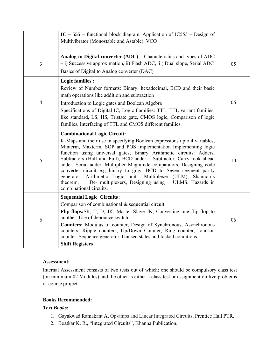|                | IC - 555 - functional block diagram, Application of IC555 - Design of<br>Multivibrator (Monostable and Astable), VCO                                                                                                                                                                                                                                                                                                                                                                                                                                                                                                                             |    |
|----------------|--------------------------------------------------------------------------------------------------------------------------------------------------------------------------------------------------------------------------------------------------------------------------------------------------------------------------------------------------------------------------------------------------------------------------------------------------------------------------------------------------------------------------------------------------------------------------------------------------------------------------------------------------|----|
| 3              | Analog-to-Digital converter $(ADC)$ – Characteristics and types of ADC<br>- i) Successive approximation, ii) Flash ADC, iii) Dual slope, Serial ADC<br>Basics of Digital to Analog converter (DAC)                                                                                                                                                                                                                                                                                                                                                                                                                                               | 05 |
| $\overline{4}$ | <b>Logic families:</b><br>Review of Number formats: Binary, hexadecimal, BCD and their basic<br>math operations like addition and subtraction<br>Introduction to Logic gates and Boolean Algebra<br>Specifications of Digital IC, Logic Families: TTL, TTL variant families:<br>like standard, LS, HS, Tristate gate, CMOS logic, Comparison of logic<br>families, Interfacing of TTL and CMOS different families.                                                                                                                                                                                                                               | 06 |
| 5              | <b>Combinational Logic Circuit:</b><br>K-Maps and their use in specifying Boolean expressions upto 4 variables,<br>Minterm, Maxterm, SOP and POS implementation Implementing logic<br>function using universal gates, Binary Arithmetic circuits: Adders,<br>Subtractors (Half and Full), BCD adder - Subtractor, Carry look ahead<br>adder, Serial adder, Multiplier Magnitude comparators, Designing code<br>converter circuit e.g binary to gray, BCD to Seven segment parity<br>generator, Arithmetic Logic units. Multiplexer (ULM), Shannon's<br>theorem,<br>De- multiplexers, Designing using ULMS. Hazards in<br>combinational circuits. | 10 |
| 6              | <b>Sequential Logic Circuits:</b><br>Comparison of combinational $\&$ sequential circuit<br>Flip-flops: SR, T, D, JK, Master Slave JK, Converting one flip-flop to<br>another, Use of debounce switch<br>Counters: Modulus of counter, Design of Synchronous, Asynchronous<br>counters, Ripple counters, Up/Down Counter, Ring counter, Johnson<br>counter, Sequence generator. Unused states and locked conditions.<br><b>Shift Registers</b>                                                                                                                                                                                                   | 06 |

Internal Assessment consists of two tests out of which; one should be compulsory class test (on minimum 02 Modules) and the other is either a class test or assignment on live problems or course project.

## **Books Recommended:**

## *Text Books:*

- 1. Gayakwad Ramakant A, Op-amps and Linear Integrated Circuits, Prentice Hall PTR,
- 2. Boatkar K. R., "Integrated Circuits", Khanna Publication.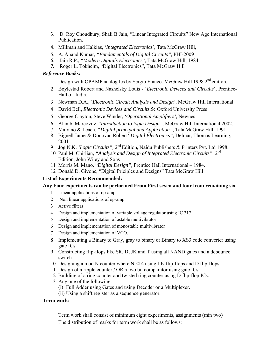- 3. D. Roy Choudhury, Shali B Jain, "Linear Integrated Circuits" New Age International Publication.
- 4. Millman and Halkias, '*Integrated Electronics*', Tata McGraw Hill,
- 5. A. Anand Kumar, *"Fundamentals of Digital Circuits",* PHI-2009
- 6. Jain R.P., *"Modern Digitals Electronic*s", Tata McGraw Hill, 1984.
- *7.* Roger L. Tokheim, "Digital Electronics", Tata McGraw Hill

#### *Reference Books:*

- 1 Design with OPAMP analog Ics by Sergio Franco. McGraw Hill 1998 2<sup>nd</sup> edition.
- 2 Boylestad Robert and Nashelsky Louis '*Electronic Devices and Circuits*', Prentice-Hall of India,
- 3 Newman D.A., '*Electronic Circuit Analysis and Design'*, McGraw Hill International.
- 4 David Bell, *Electronic Devices and Circuits,*5e Oxford University Press
- 5 George Clayton, Steve Winder, *'Operational Amplifiers',* Newnes
- 6 Alan b. Marcovitz, "*Introduction to logic Design",* McGraw Hill International 2002.
- 7 Malvino & Leach, *"Digital principal and Application"*, Tata McGraw Hill, 1991.
- 8 Bignell James& Donovan Robert "*Digital Electronics",* Delmar, Thomas Learning, 2001.
- 9 Jog N.K. *'Logic Circuits",* 2nd Edition, Naidu Publishers & Printers Pvt. Ltd 1998.
- 10 Paul M. Chirlian*, "Analysis and Design of Integrated Electronic Circuits"*, 2nd Edition, John Wiley and Sons
- 11 Morris M. Mano. "*Digital Design",* Prentice Hall International 1984.
- 12 Donald D. Givone, "Digital Priciples and Designs" Tata McGraw Hill

#### **List of Experiments Recommended:**

#### **Any Four experiments can be performed From First seven and four from remaining six.**

- 1 Linear applications of op-amp
- 2 Non linear applications of op-amp
- 3 Active filters
- 4 Design and implementation of variable voltage regulator using IC 317
- 5 Design and implementation of astable multivibrator
- 6 Design and implementation of monostable multivibrator
- 7 Design and implementation of VCO.
- 8 Implementing a Binary to Gray, gray to binary or Binary to XS3 code converter using gate ICs.
- 9 Constructing flip-flops like SR, D, JK and T using all NAND gates and a debounce switch.
- 10 Designing a mod N counter where  $N < 14$  using J K flip-flops and D flip-flops.
- 11 Design of a ripple counter / OR a two bit comparator using gate ICs.
- 12 Building of a ring counter and twisted ring counter using D flip-flop ICs.
- 13 Any one of the following.
	- (i) Full Adder using Gates and using Decoder or a Multiplexer.
	- (ii) Using a shift register as a sequence generator.

#### **Term work:**

Term work shall consist of minimum eight experiments, assignments (min two) The distribution of marks for term work shall be as follows: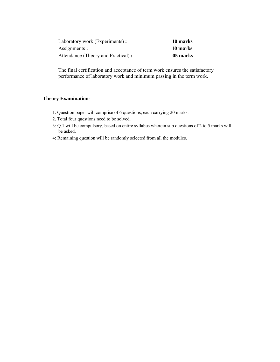| Laboratory work (Experiments):     | 10 marks |
|------------------------------------|----------|
| Assignments:                       | 10 marks |
| Attendance (Theory and Practical): | 05 marks |

The final certification and acceptance of term work ensures the satisfactory performance of laboratory work and minimum passing in the term work.

- 1. Question paper will comprise of 6 questions, each carrying 20 marks.
- 2. Total four questions need to be solved.
- 3: Q.1 will be compulsory, based on entire syllabus wherein sub questions of 2 to 5 marks will be asked.
- 4: Remaining question will be randomly selected from all the modules.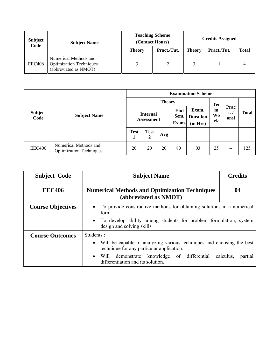| <b>Subject</b><br>Code | <b>Subject Name</b>                                                              |               | <b>Teaching Scheme</b><br>(Contact Hours) | <b>Credits Assigned</b> |             |              |  |
|------------------------|----------------------------------------------------------------------------------|---------------|-------------------------------------------|-------------------------|-------------|--------------|--|
|                        |                                                                                  | <b>Theory</b> | Pract./Tut.                               | <b>Theory</b>           | Pract./Tut. | <b>Total</b> |  |
| <b>EEC406</b>          | Numerical Methods and<br><b>Optimization Techniques</b><br>(abbreviated as NMOT) |               |                                           |                         |             |              |  |

|                        |                                                         | <b>Examination Scheme</b>            |                  |     |                                                              |    |                                    |                               |              |  |
|------------------------|---------------------------------------------------------|--------------------------------------|------------------|-----|--------------------------------------------------------------|----|------------------------------------|-------------------------------|--------------|--|
| <b>Subject</b><br>Code | <b>Subject Name</b>                                     | <b>Theory</b>                        |                  |     |                                                              |    |                                    |                               |              |  |
|                        |                                                         | <b>Internal</b><br><b>Assessment</b> |                  |     | Exam.<br>End<br>Sem.<br><b>Duration</b><br>Exam.<br>(in Hrs) |    | <b>Ter</b><br>m<br><b>Wo</b><br>rk | Prac<br>$t_{\bullet}$<br>oral | <b>Total</b> |  |
|                        |                                                         | <b>Test</b>                          | <b>Test</b><br>2 | Avg |                                                              |    |                                    |                               |              |  |
| <b>EEC406</b>          | Numerical Methods and<br><b>Optimization Techniques</b> | 20                                   | 20               | 20  | 80                                                           | 03 | 25                                 | $- -$                         | 125          |  |

| <b>Subject Code</b>      | <b>Subject Name</b>                                                                                                                                                                                                                                               | <b>Credits</b> |  |  |  |  |
|--------------------------|-------------------------------------------------------------------------------------------------------------------------------------------------------------------------------------------------------------------------------------------------------------------|----------------|--|--|--|--|
| <b>EEC406</b>            | <b>Numerical Methods and Optimization Techniques</b><br>(abbreviated as NMOT)                                                                                                                                                                                     | 04             |  |  |  |  |
| <b>Course Objectives</b> | To provide constructive methods for obtaining solutions in a numerical<br>$\bullet$<br>form.<br>To develop ability among students for problem formulation, system<br>$\bullet$<br>design and solving skills                                                       |                |  |  |  |  |
| <b>Course Outcomes</b>   | Students:<br>Will be capable of analyzing various techniques and choosing the best<br>$\bullet$<br>technique for any particular application.<br>Will demonstrate knowledge of differential calculus,<br>partial<br>$\bullet$<br>differentiation and its solution. |                |  |  |  |  |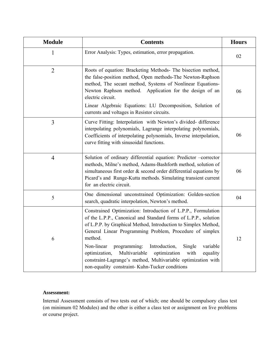| <b>Module</b>  | <b>Contents</b>                                                                                                                                                                                                                                                                                                                                                                                                                                                                                                                          | <b>Hours</b> |
|----------------|------------------------------------------------------------------------------------------------------------------------------------------------------------------------------------------------------------------------------------------------------------------------------------------------------------------------------------------------------------------------------------------------------------------------------------------------------------------------------------------------------------------------------------------|--------------|
|                | Error Analysis: Types, estimation, error propagation.                                                                                                                                                                                                                                                                                                                                                                                                                                                                                    | 02           |
| $\overline{2}$ | Roots of equation: Bracketing Methods- The bisection method,<br>the false-position method, Open methods-The Newton-Raphson<br>method, The secant method, Systems of Nonlinear Equations-<br>Newton Raphson method. Application for the design of an<br>electric circuit.<br>Linear Algebraic Equations: LU Decomposition, Solution of<br>currents and voltages in Resistor circuits.                                                                                                                                                     | 06           |
| 3              | Curve Fitting: Interpolation with Newton's divided-difference<br>interpolating polynomials, Lagrange interpolating polynomials,<br>Coefficients of interpolating polynomials, Inverse interpolation,<br>curve fitting with sinusoidal functions.                                                                                                                                                                                                                                                                                         | 06           |
| $\overline{4}$ | Solution of ordinary differential equation: Predictor -corrector<br>methods, Milne's method, Adams-Bashforth method, solution of<br>simultaneous first order & second order differential equations by<br>Picard's and Runge-Kutta methods. Simulating transient current<br>for an electric circuit.                                                                                                                                                                                                                                      | 06           |
| 5              | One dimensional unconstrained Optimization: Golden-section<br>search, quadratic interpolation, Newton's method.                                                                                                                                                                                                                                                                                                                                                                                                                          | 04           |
| 6              | Constrained Optimization: Introduction of L.P.P., Formulation<br>of the L.P.P., Canonical and Standard forms of L.P.P., solution<br>of L.P.P. by Graphical Method, Introduction to Simplex Method,<br>General Linear Programming Problem, Procedure of simplex<br>method.<br>Introduction,<br>Single<br>variable<br>Non-linear<br>programming:<br>Multivariable<br>optimization,<br>optimization<br>with<br>equality<br>constraint-Lagrange's method, Multivariable optimization with<br>non-equality constraint- Kuhn-Tucker conditions | 12           |

Internal Assessment consists of two tests out of which; one should be compulsory class test (on minimum 02 Modules) and the other is either a class test or assignment on live problems or course project.